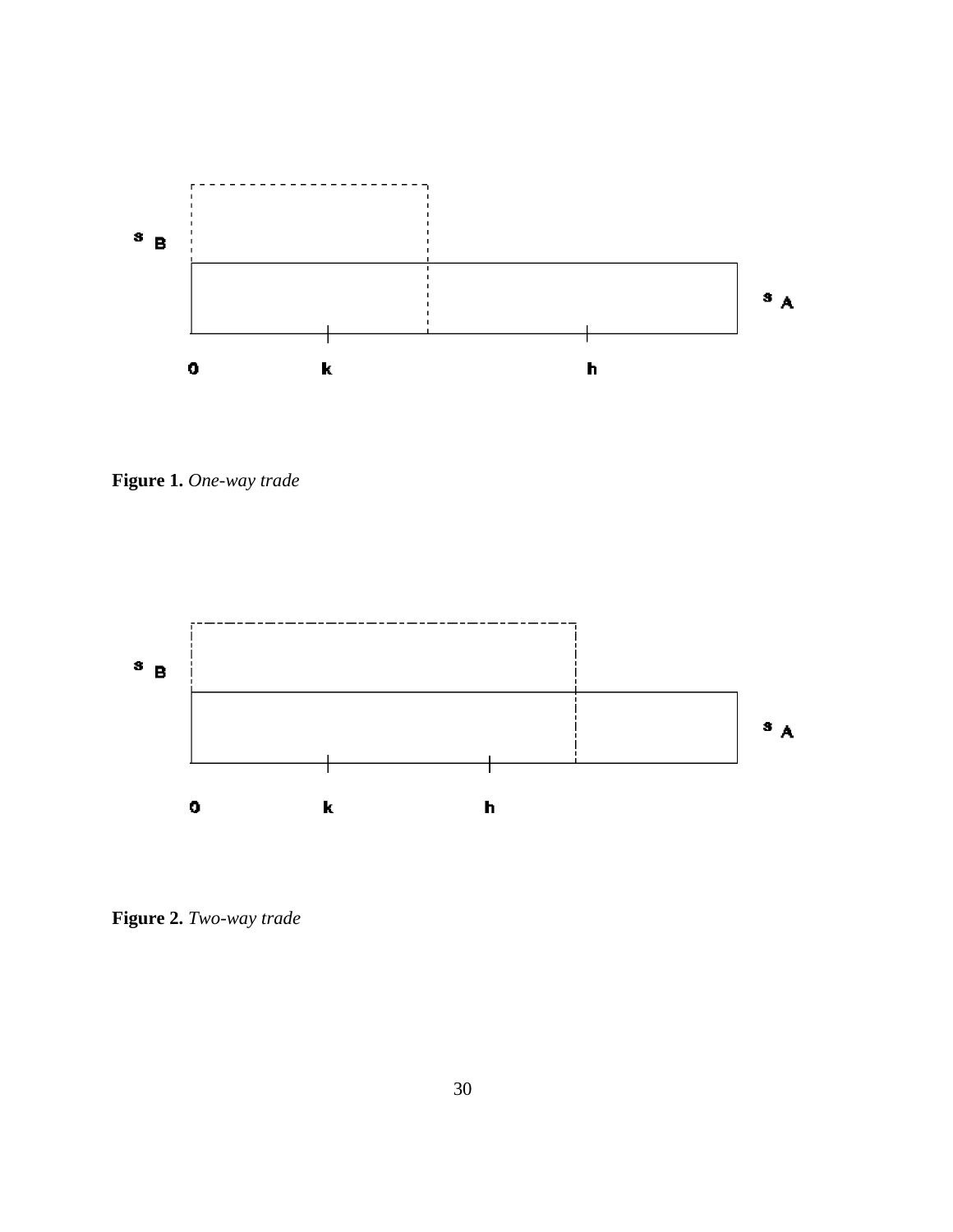

**Figure 1.** *One-way trade*



**Figure 2.** *Two-way trade*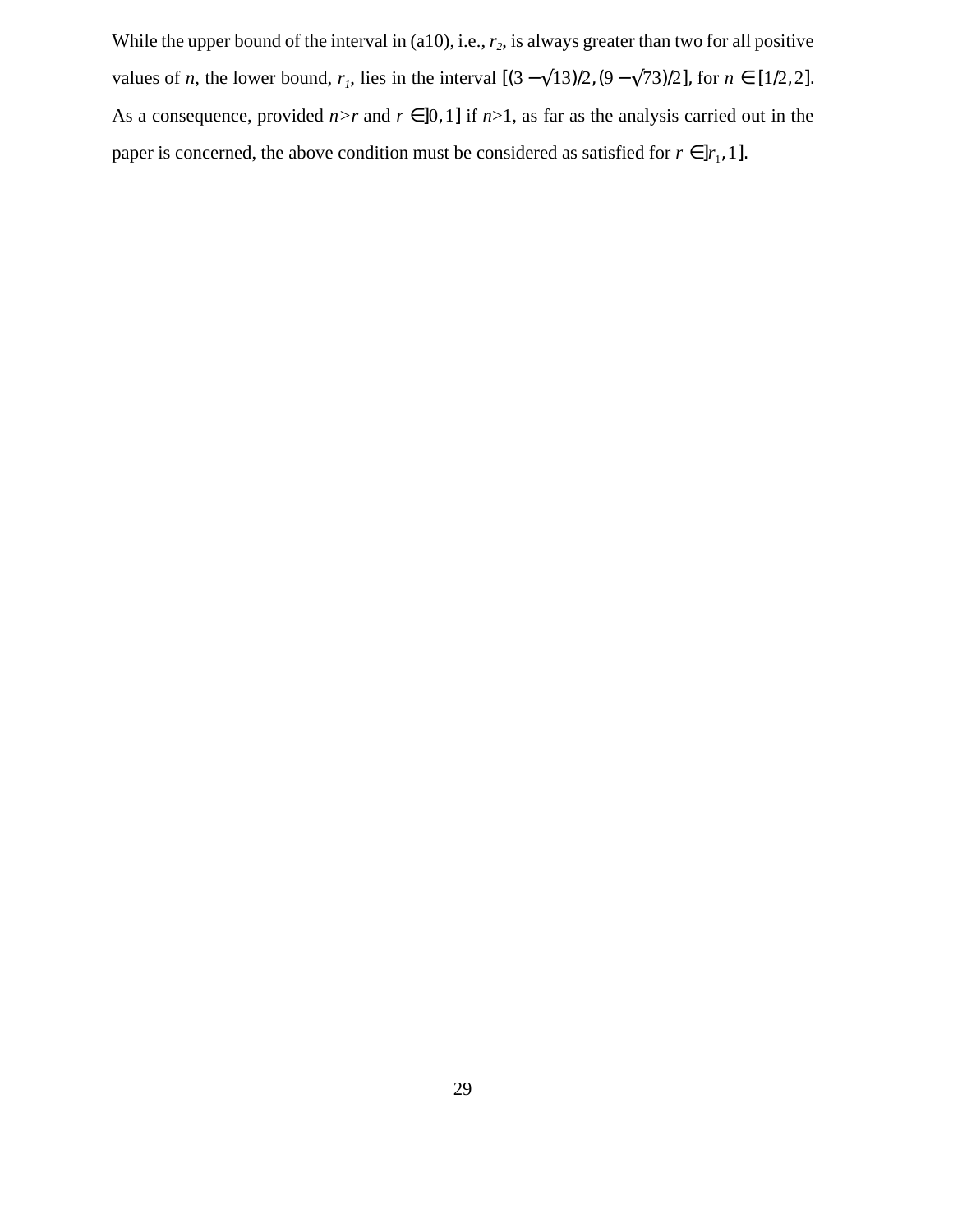While the upper bound of the interval in  $(a10)$ , i.e.,  $r_2$ , is always greater than two for all positive values of *n*, the lower bound,  $r_1$ , lies in the interval  $[(3 - \sqrt{13})/2, (9 - \sqrt{73})/2]$ , for  $n \in [1/2, 2]$ . As a consequence, provided  $n>r$  and  $r \in ]0,1]$  if  $n>1$ , as far as the analysis carried out in the paper is concerned, the above condition must be considered as satisfied for  $r \in ]r_1, 1]$ .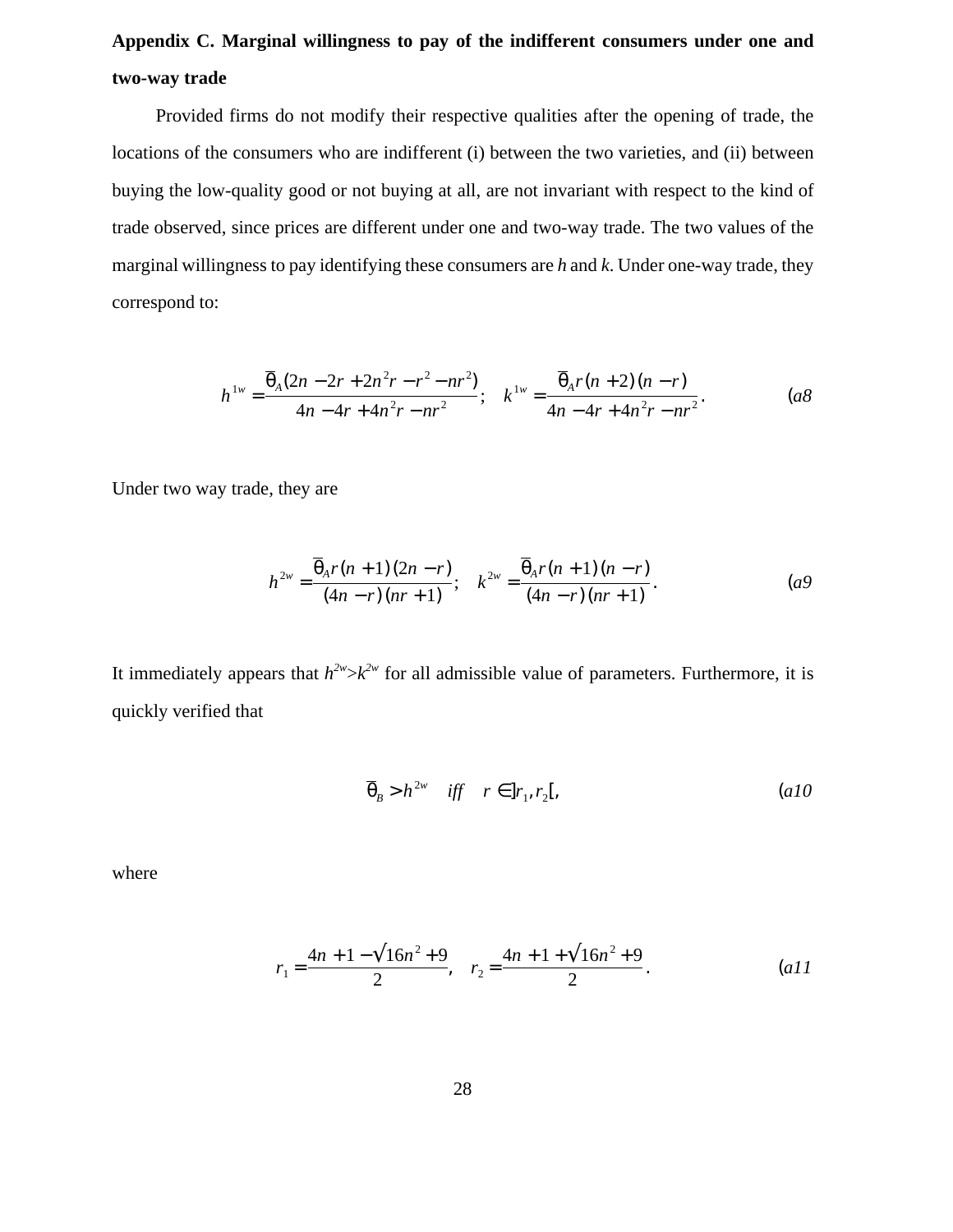# **Appendix C. Marginal willingness to pay of the indifferent consumers under one and two-way trade**

Provided firms do not modify their respective qualities after the opening of trade, the locations of the consumers who are indifferent (i) between the two varieties, and (ii) between buying the low-quality good or not buying at all, are not invariant with respect to the kind of trade observed, since prices are different under one and two-way trade. The two values of the marginal willingness to pay identifying these consumers are *h* and *k*. Under one-way trade, they correspond to:

$$
h^{1w} = \frac{\overline{\theta}_A (2n - 2r + 2n^2r - r^2 - nr^2)}{4n - 4r + 4n^2r - nr^2}; \quad k^{1w} = \frac{\overline{\theta}_A r(n + 2)(n - r)}{4n - 4r + 4n^2r - nr^2}.
$$
 (a8)

Under two way trade, they are

$$
h^{2w} = \frac{\overline{\theta}_A r(n+1)(2n-r)}{(4n-r)(nr+1)}; \quad k^{2w} = \frac{\overline{\theta}_A r(n+1)(n-r)}{(4n-r)(nr+1)}.
$$
 (a9)

It immediately appears that  $h^{2w} > k^{2w}$  for all admissible value of parameters. Furthermore, it is quickly verified that

$$
\overline{\theta}_B > h^{2w} \quad \text{iff} \quad r \in ]r_1, r_2[, \tag{a10}
$$

where

$$
r_1 = \frac{4n + 1 - \sqrt{16n^2 + 9}}{2}, \quad r_2 = \frac{4n + 1 + \sqrt{16n^2 + 9}}{2}.
$$
 (a)1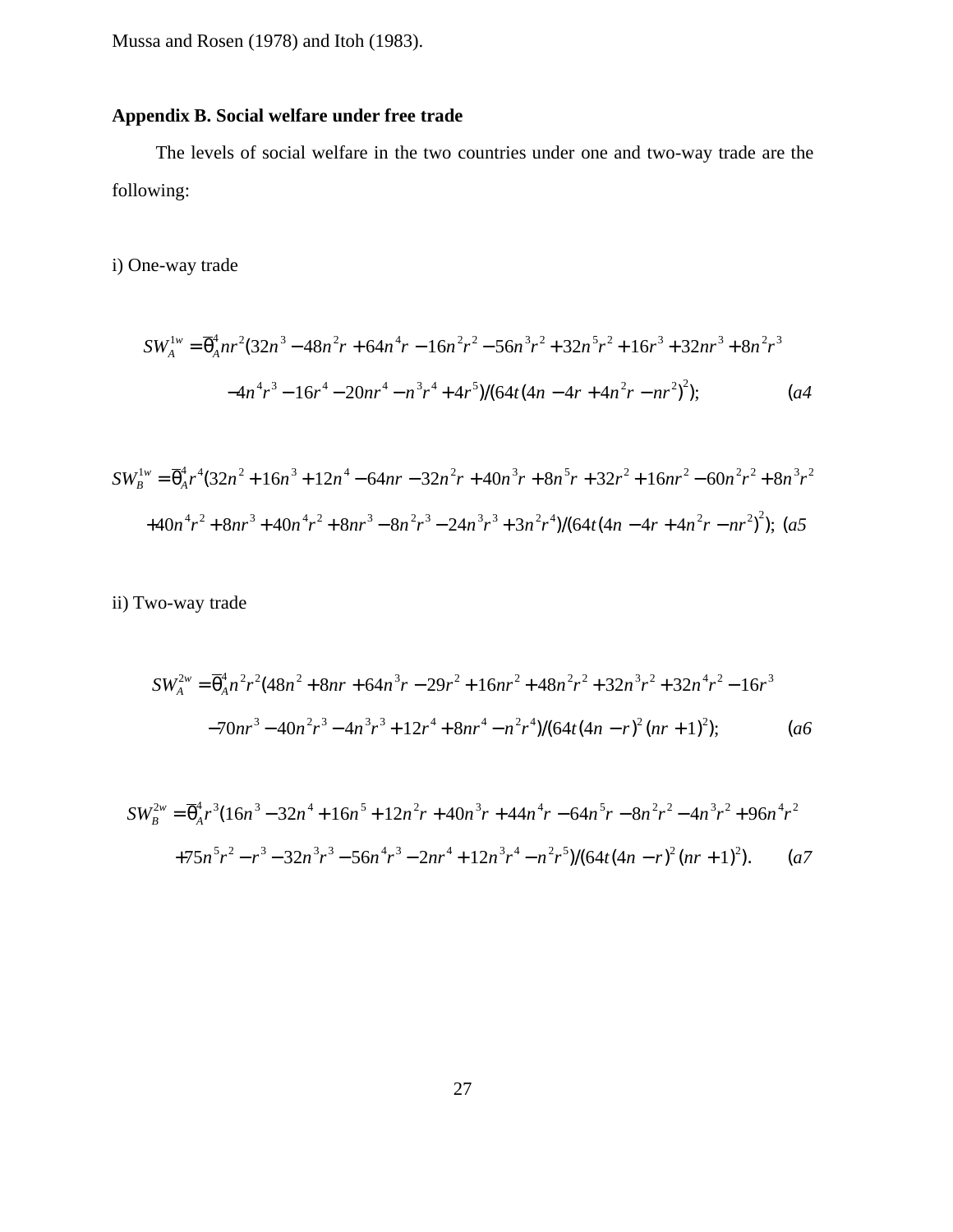Mussa and Rosen (1978) and Itoh (1983).

# **Appendix B. Social welfare under free trade**

The levels of social welfare in the two countries under one and two-way trade are the following:

i) One-way trade

$$
SW_A^{1w} = \overline{\theta}_A^4 nr^2 (32n^3 - 48n^2r + 64n^4r - 16n^2r^2 - 56n^3r^2 + 32n^5r^2 + 16r^3 + 32nr^3 + 8n^2r^3
$$
  

$$
-4n^4r^3 - 16r^4 - 20nr^4 - n^3r^4 + 4r^5)/(64t(4n - 4r + 4n^2r - nr^2)^2); \qquad (a4)
$$

$$
SW_B^{1w} = \overline{\theta}_A^4 r^4 (32n^2 + 16n^3 + 12n^4 - 64nr - 32n^2r + 40n^3r + 8n^5r + 32r^2 + 16nr^2 - 60n^2r^2 + 8n^3r^2
$$
  
+40n<sup>4</sup>r<sup>2</sup> + 8nr<sup>3</sup> + 40n<sup>4</sup>r<sup>2</sup> + 8nr<sup>3</sup> - 8n<sup>2</sup>r<sup>3</sup> - 24n<sup>3</sup>r<sup>3</sup> + 3n<sup>2</sup>r<sup>4</sup>)/(64t(4n - 4r + 4n<sup>2</sup>r - nr<sup>2</sup>)<sup>2</sup>); (a5

ii) Two-way trade

$$
SW_A^{2w} = \overline{\theta}_A^4 n^2 r^2 (48n^2 + 8nr + 64n^3r - 29r^2 + 16nr^2 + 48n^2r^2 + 32n^3r^2 + 32n^4r^2 - 16r^3
$$
  
-70nr<sup>3</sup> - 40n<sup>2</sup>r<sup>3</sup> - 4n<sup>3</sup>r<sup>3</sup> + 12r<sup>4</sup> + 8nr<sup>4</sup> - n<sup>2</sup>r<sup>4</sup>)/(64t(4n - r)<sup>2</sup>(nr + 1)<sup>2</sup>); (a6)

$$
SW_B^{2w} = \overline{\theta}_A^4 r^3 (16n^3 - 32n^4 + 16n^5 + 12n^2r + 40n^3r + 44n^4r - 64n^5r - 8n^2r^2 - 4n^3r^2 + 96n^4r^2
$$
  
+75n<sup>5</sup>r<sup>2</sup> - r<sup>3</sup> - 32n<sup>3</sup>r<sup>3</sup> - 56n<sup>4</sup>r<sup>3</sup> - 2nr<sup>4</sup> + 12n<sup>3</sup>r<sup>4</sup> - n<sup>2</sup>r<sup>5</sup>)/(64t(4n - r)<sup>2</sup>(nr + 1)<sup>2</sup>). (a7)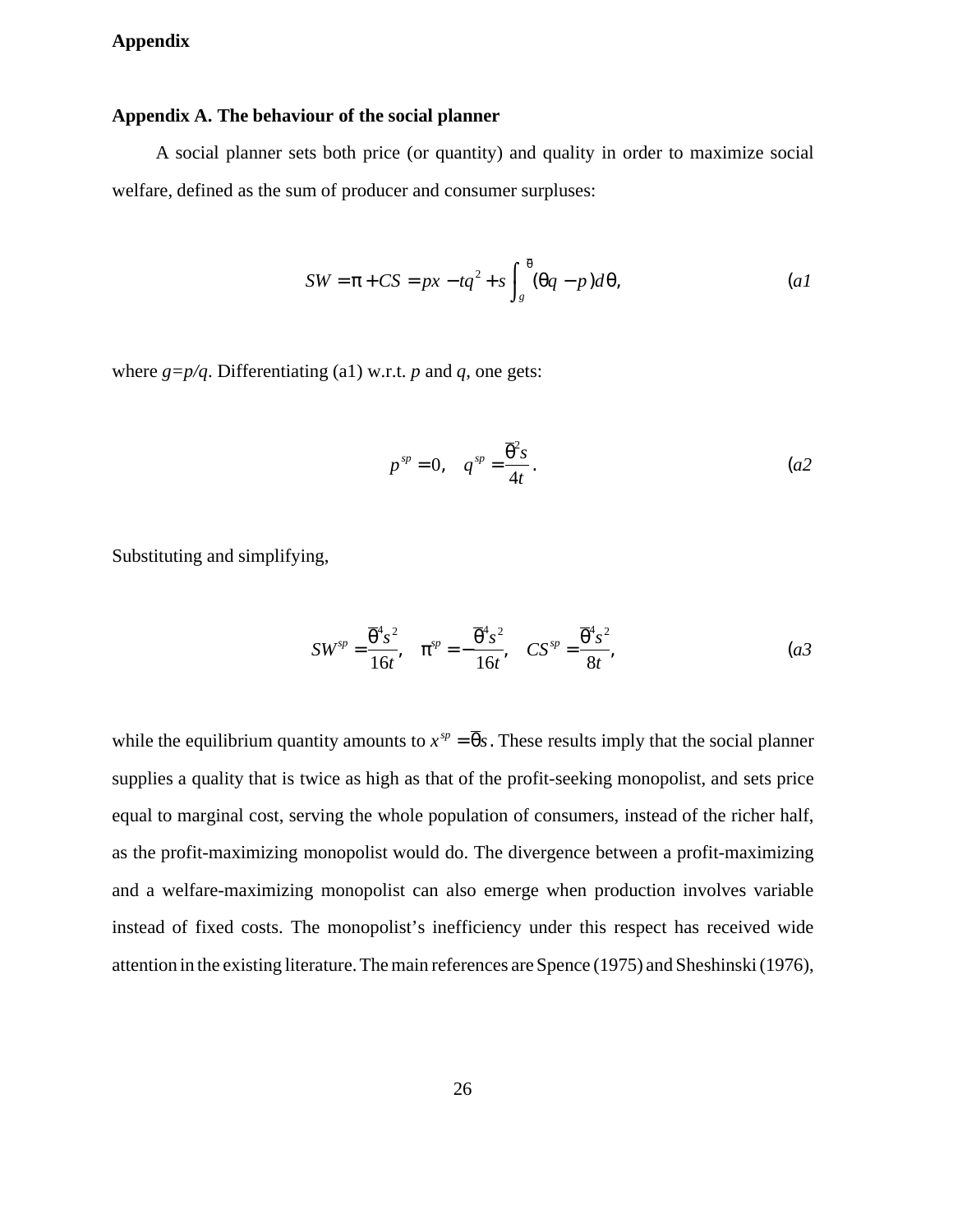## **Appendix**

#### **Appendix A. The behaviour of the social planner**

A social planner sets both price (or quantity) and quality in order to maximize social welfare, defined as the sum of producer and consumer surpluses:

$$
SW = \pi + CS = px - tq^{2} + s \int_{g}^{\overline{\theta}} (\theta q - p) d\theta,
$$
 (a1)

where  $g=p/q$ . Differentiating (a1) w.r.t. *p* and *q*, one gets:

$$
p^{sp} = 0, \quad q^{sp} = \frac{\overline{\theta}^2 s}{4t}.
$$
 (a2)

Substituting and simplifying,

$$
SW^{sp} = \frac{\overline{\theta}^4 s^2}{16t}, \quad \pi^{sp} = -\frac{\overline{\theta}^4 s^2}{16t}, \quad CS^{sp} = \frac{\overline{\theta}^4 s^2}{8t}, \tag{a3}
$$

while the equilibrium quantity amounts to  $x^{sp} = \overline{\theta} s$ . These results imply that the social planner supplies a quality that is twice as high as that of the profit-seeking monopolist, and sets price equal to marginal cost, serving the whole population of consumers, instead of the richer half, as the profit-maximizing monopolist would do. The divergence between a profit-maximizing and a welfare-maximizing monopolist can also emerge when production involves variable instead of fixed costs. The monopolist's inefficiency under this respect has received wide attention in the existing literature. The main references are Spence (1975) and Sheshinski (1976),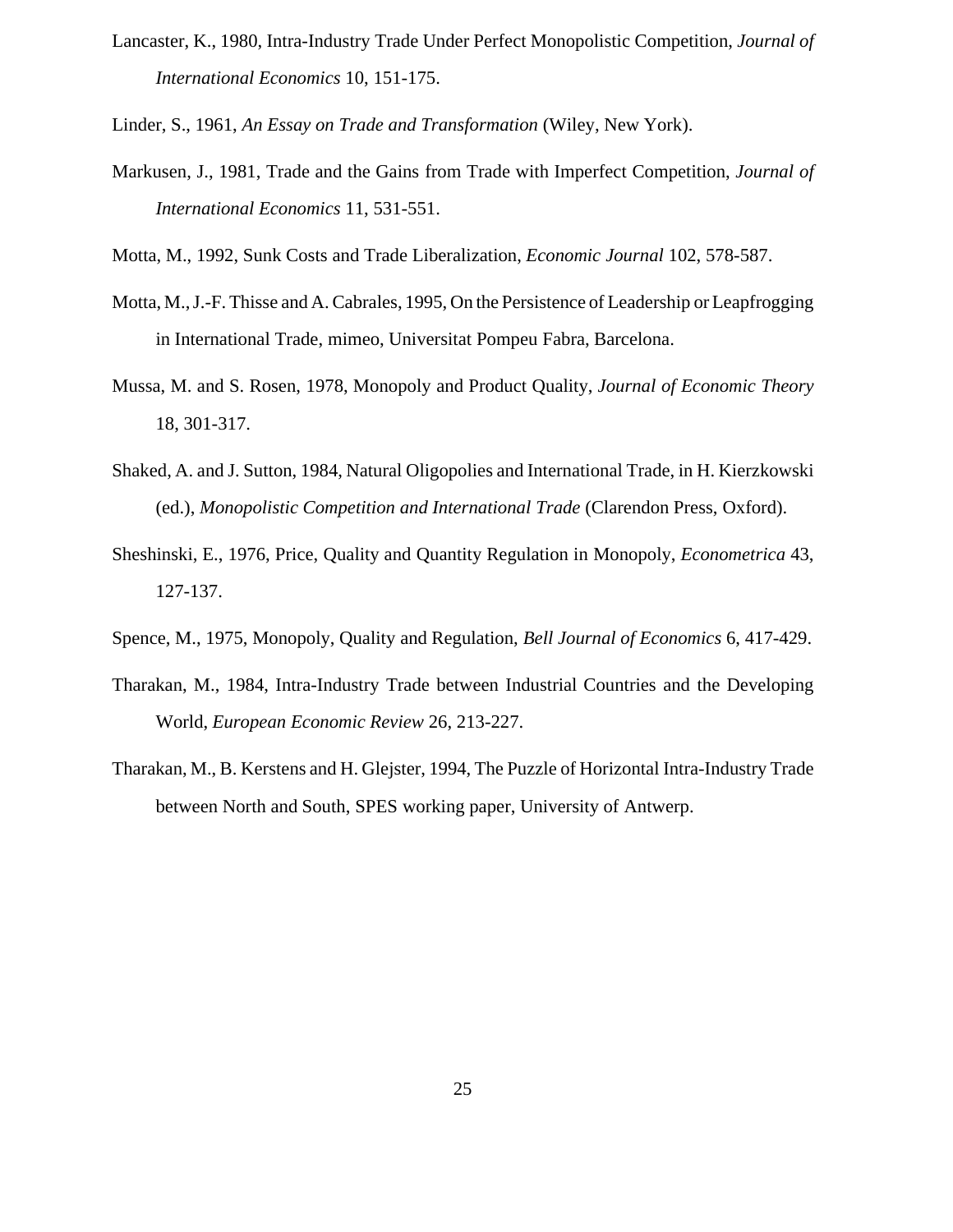Lancaster, K., 1980, Intra-Industry Trade Under Perfect Monopolistic Competition, *Journal of International Economics* 10, 151-175.

Linder, S., 1961, *An Essay on Trade and Transformation* (Wiley, New York).

- Markusen, J., 1981, Trade and the Gains from Trade with Imperfect Competition, *Journal of International Economics* 11, 531-551.
- Motta, M., 1992, Sunk Costs and Trade Liberalization, *Economic Journal* 102, 578-587.
- Motta, M., J.-F. Thisse and A. Cabrales, 1995, On the Persistence of Leadership or Leapfrogging in International Trade, mimeo, Universitat Pompeu Fabra, Barcelona.
- Mussa, M. and S. Rosen, 1978, Monopoly and Product Quality, *Journal of Economic Theory* 18, 301-317.
- Shaked, A. and J. Sutton, 1984, Natural Oligopolies and International Trade, in H. Kierzkowski (ed.), *Monopolistic Competition and International Trade* (Clarendon Press, Oxford).
- Sheshinski, E., 1976, Price, Quality and Quantity Regulation in Monopoly, *Econometrica* 43, 127-137.
- Spence, M., 1975, Monopoly, Quality and Regulation, *Bell Journal of Economics* 6, 417-429.
- Tharakan, M., 1984, Intra-Industry Trade between Industrial Countries and the Developing World, *European Economic Review* 26, 213-227.
- Tharakan, M., B. Kerstens and H. Glejster, 1994, The Puzzle of Horizontal Intra-Industry Trade between North and South, SPES working paper, University of Antwerp.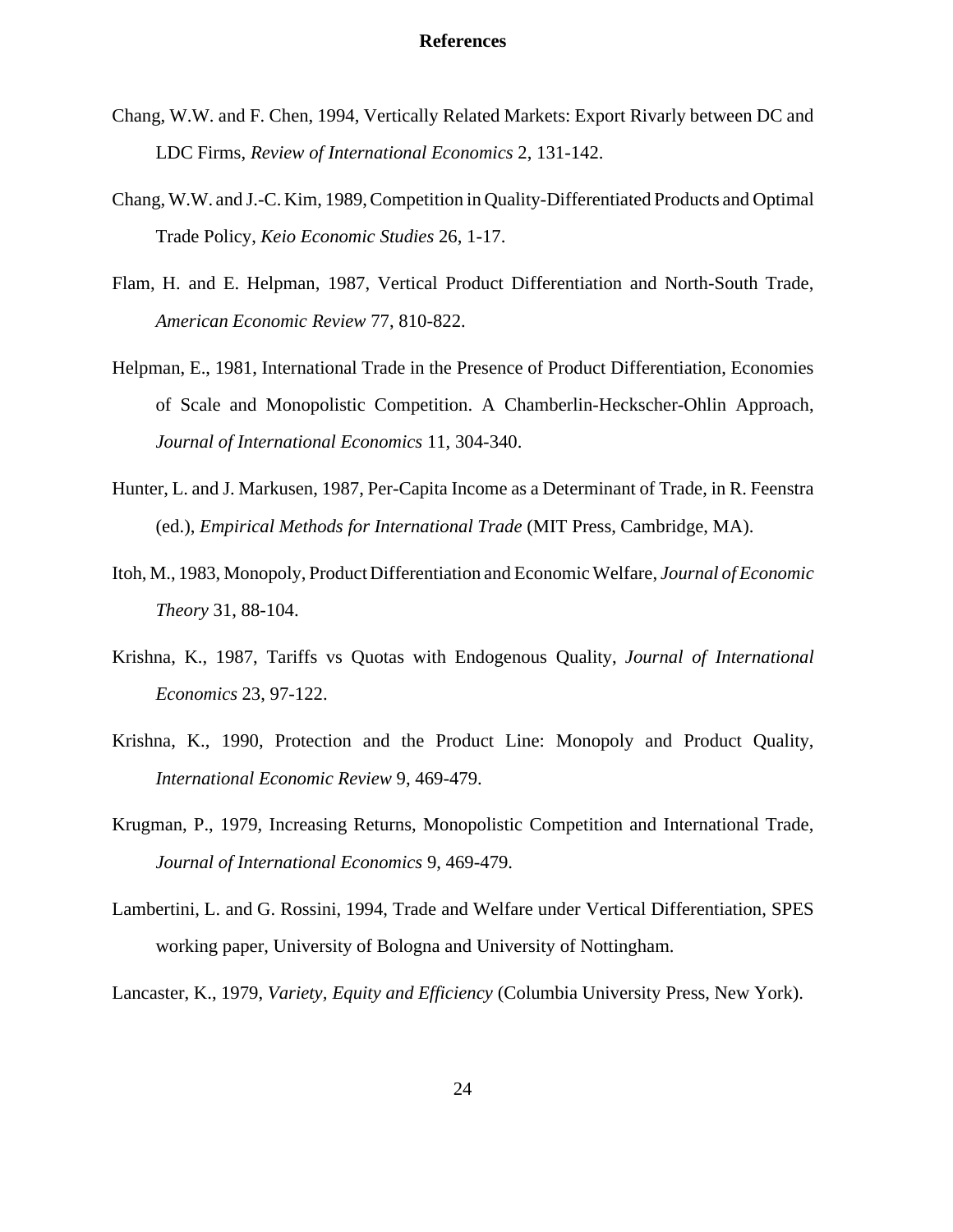#### **References**

- Chang, W.W. and F. Chen, 1994, Vertically Related Markets: Export Rivarly between DC and LDC Firms, *Review of International Economics* 2, 131-142.
- Chang, W.W. and J.-C. Kim, 1989, Competition in Quality-Differentiated Products and Optimal Trade Policy, *Keio Economic Studies* 26, 1-17.
- Flam, H. and E. Helpman, 1987, Vertical Product Differentiation and North-South Trade, *American Economic Review* 77, 810-822.
- Helpman, E., 1981, International Trade in the Presence of Product Differentiation, Economies of Scale and Monopolistic Competition. A Chamberlin-Heckscher-Ohlin Approach, *Journal of International Economics* 11, 304-340.
- Hunter, L. and J. Markusen, 1987, Per-Capita Income as a Determinant of Trade, in R. Feenstra (ed.), *Empirical Methods for International Trade* (MIT Press, Cambridge, MA).
- Itoh, M., 1983, Monopoly, Product Differentiation and Economic Welfare, *Journal of Economic Theory* 31, 88-104.
- Krishna, K., 1987, Tariffs vs Quotas with Endogenous Quality, *Journal of International Economics* 23, 97-122.
- Krishna, K., 1990, Protection and the Product Line: Monopoly and Product Quality, *International Economic Review* 9, 469-479.
- Krugman, P., 1979, Increasing Returns, Monopolistic Competition and International Trade, *Journal of International Economics* 9, 469-479.
- Lambertini, L. and G. Rossini, 1994, Trade and Welfare under Vertical Differentiation, SPES working paper, University of Bologna and University of Nottingham.

Lancaster, K., 1979, *Variety, Equity and Efficiency* (Columbia University Press, New York).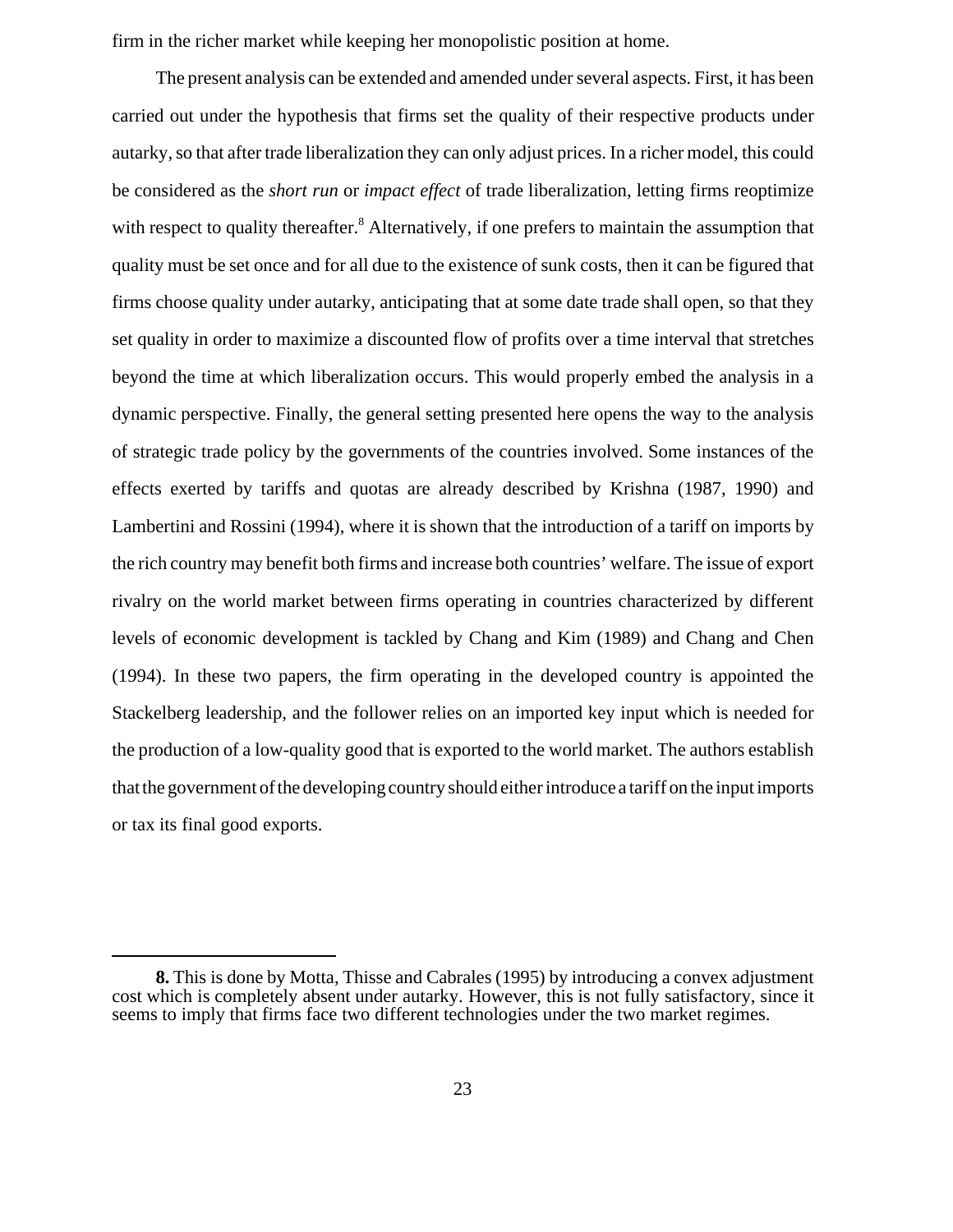firm in the richer market while keeping her monopolistic position at home.

The present analysis can be extended and amended under several aspects. First, it has been carried out under the hypothesis that firms set the quality of their respective products under autarky, so that after trade liberalization they can only adjust prices. In a richer model, this could be considered as the *short run* or *impact effect* of trade liberalization, letting firms reoptimize with respect to quality thereafter.<sup>8</sup> Alternatively, if one prefers to maintain the assumption that quality must be set once and for all due to the existence of sunk costs, then it can be figured that firms choose quality under autarky, anticipating that at some date trade shall open, so that they set quality in order to maximize a discounted flow of profits over a time interval that stretches beyond the time at which liberalization occurs. This would properly embed the analysis in a dynamic perspective. Finally, the general setting presented here opens the way to the analysis of strategic trade policy by the governments of the countries involved. Some instances of the effects exerted by tariffs and quotas are already described by Krishna (1987, 1990) and Lambertini and Rossini (1994), where it is shown that the introduction of a tariff on imports by the rich country may benefit both firms and increase both countries' welfare. The issue of export rivalry on the world market between firms operating in countries characterized by different levels of economic development is tackled by Chang and Kim (1989) and Chang and Chen (1994). In these two papers, the firm operating in the developed country is appointed the Stackelberg leadership, and the follower relies on an imported key input which is needed for the production of a low-quality good that is exported to the world market. The authors establish thatthe government of the developing country should either introducea tariff on the input imports or tax its final good exports.

**<sup>8.</sup>** This is done by Motta, Thisse and Cabrales (1995) by introducing a convex adjustment cost which is completely absent under autarky. However, this is not fully satisfactory, since it seems to imply that firms face two different technologies under the two market regimes.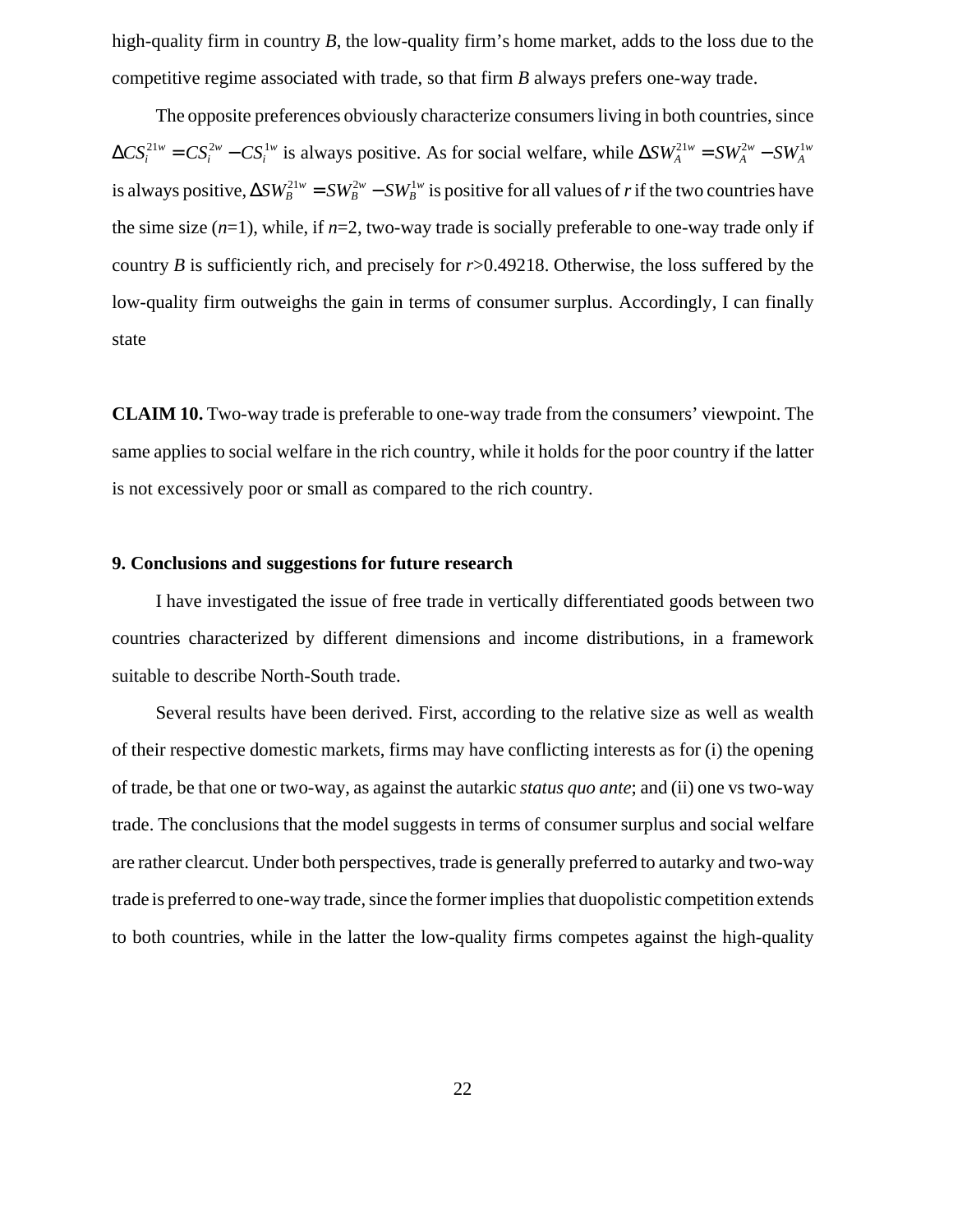high-quality firm in country *B*, the low-quality firm's home market, adds to the loss due to the competitive regime associated with trade, so that firm *B* always prefers one-way trade.

The opposite preferences obviously characterize consumers living in both countries, since  $\Delta CS_i^{21w} = CS_i^{2w} - CS_i^{1w}$  is always positive. As for social welfare, while  $\Delta SW_A^{21w} = SW_A^{2w} - SW_A^{1w}$ is always positive,  $\Delta SW^{21w}_B = SW^{2w}_B - SW^{1w}_B$  is positive for all values of *r* if the two countries have the sime size  $(n=1)$ , while, if  $n=2$ , two-way trade is socially preferable to one-way trade only if country *B* is sufficiently rich, and precisely for *r*>0.49218. Otherwise, the loss suffered by the low-quality firm outweighs the gain in terms of consumer surplus. Accordingly, I can finally state

**CLAIM 10.** Two-way trade is preferable to one-way trade from the consumers' viewpoint. The same applies to social welfare in the rich country, while it holds for the poor country if the latter is not excessively poor or small as compared to the rich country.

#### **9. Conclusions and suggestions for future research**

I have investigated the issue of free trade in vertically differentiated goods between two countries characterized by different dimensions and income distributions, in a framework suitable to describe North-South trade.

Several results have been derived. First, according to the relative size as well as wealth of their respective domestic markets, firms may have conflicting interests as for (i) the opening of trade, be that one or two-way, as against the autarkic *status quo ante*; and (ii) one vs two-way trade. The conclusions that the model suggests in terms of consumer surplus and social welfare are rather clearcut. Under both perspectives, trade is generally preferred to autarky and two-way trade is preferred to one-way trade, since the former implies that duopolistic competition extends to both countries, while in the latter the low-quality firms competes against the high-quality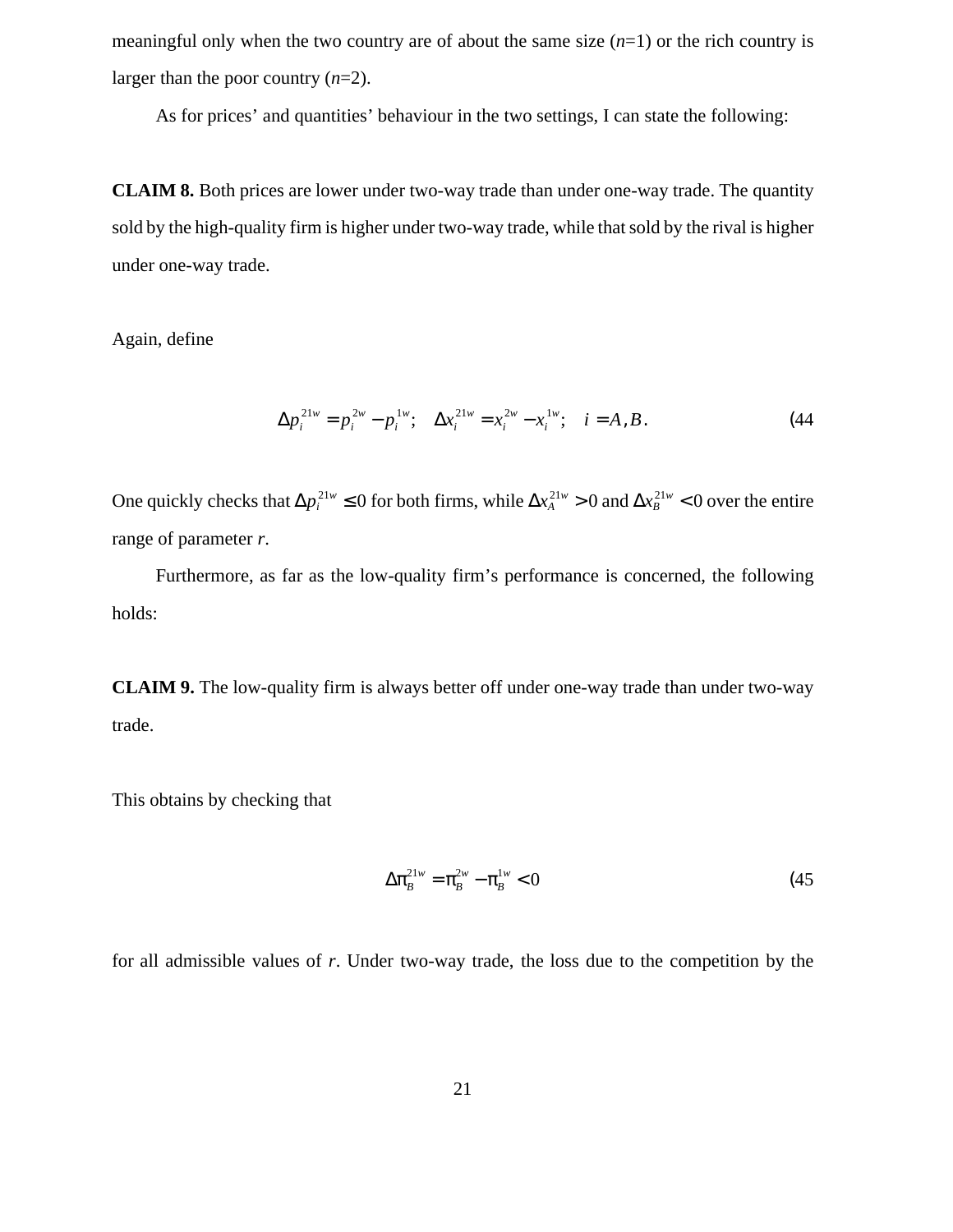meaningful only when the two country are of about the same size (*n*=1) or the rich country is larger than the poor country (*n*=2).

As for prices' and quantities' behaviour in the two settings, I can state the following:

**CLAIM 8.** Both prices are lower under two-way trade than under one-way trade. The quantity sold by the high-quality firm is higher under two-way trade, while that sold by the rival is higher under one-way trade.

Again, define

$$
\Delta p_i^{21w} = p_i^{2w} - p_i^{1w}; \quad \Delta x_i^{21w} = x_i^{2w} - x_i^{1w}; \quad i = A, B. \tag{44}
$$

One quickly checks that  $\Delta p_i^{21w} \le 0$  for both firms, while  $\Delta x_A^{21w} > 0$  and  $\Delta x_B^{21w} < 0$  over the entire range of parameter *r*.

Furthermore, as far as the low-quality firm's performance is concerned, the following holds:

**CLAIM 9.** The low-quality firm is always better off under one-way trade than under two-way trade.

This obtains by checking that

$$
\Delta \pi_B^{21w} = \pi_B^{2w} - \pi_B^{1w} < 0 \tag{45}
$$

for all admissible values of *r*. Under two-way trade, the loss due to the competition by the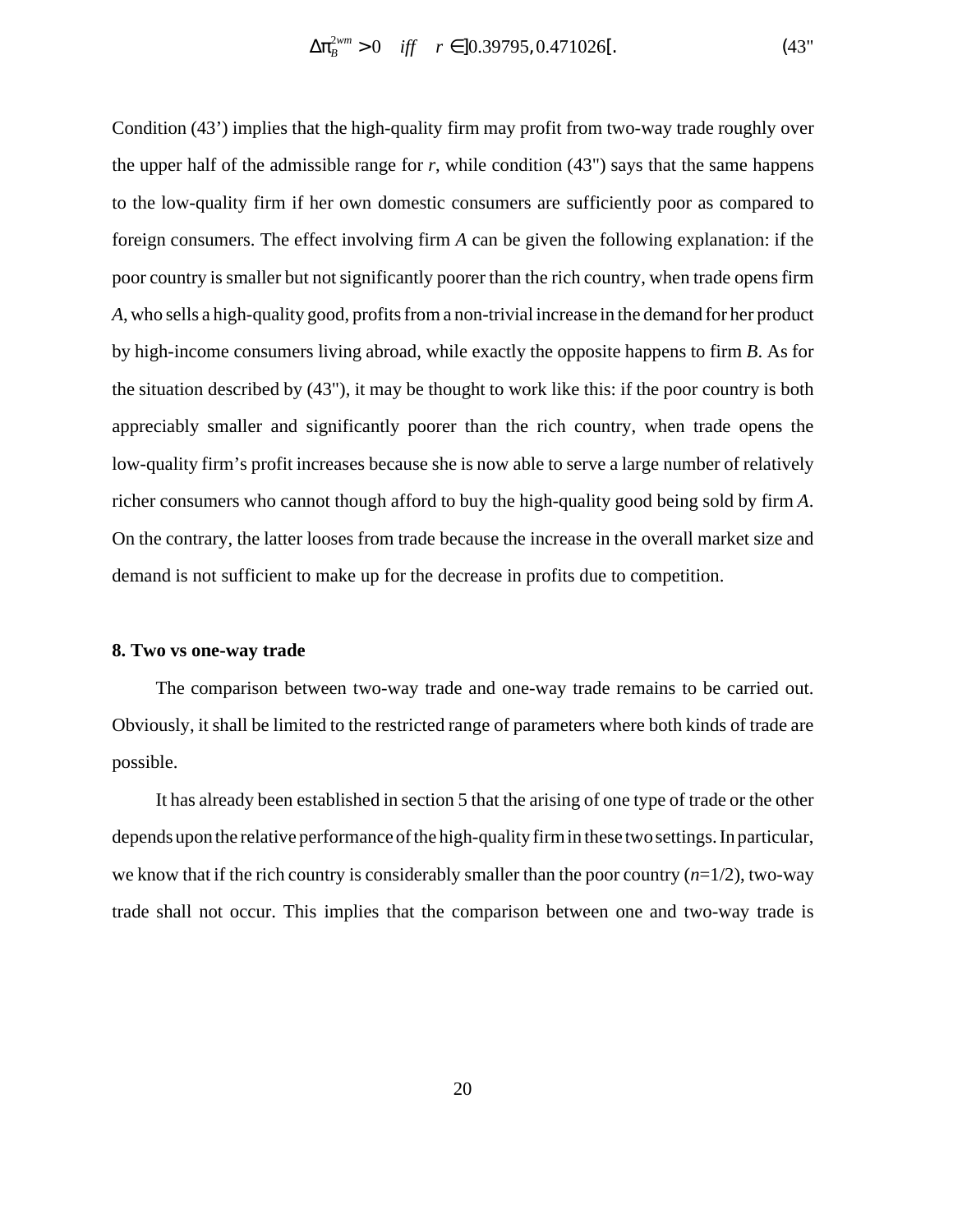Condition (43') implies that the high-quality firm may profit from two-way trade roughly over the upper half of the admissible range for  $r$ , while condition  $(43")$  says that the same happens to the low-quality firm if her own domestic consumers are sufficiently poor as compared to foreign consumers. The effect involving firm *A* can be given the following explanation: if the poor country is smaller but not significantly poorer than the rich country, when trade opens firm *A*, who sells a high-quality good, profits from a non-trivial increase in the demand for her product by high-income consumers living abroad, while exactly the opposite happens to firm *B*. As for the situation described by (43"), it may be thought to work like this: if the poor country is both appreciably smaller and significantly poorer than the rich country, when trade opens the low-quality firm's profit increases because she is now able to serve a large number of relatively richer consumers who cannot though afford to buy the high-quality good being sold by firm *A*. On the contrary, the latter looses from trade because the increase in the overall market size and demand is not sufficient to make up for the decrease in profits due to competition.

#### **8. Two vs one-way trade**

The comparison between two-way trade and one-way trade remains to be carried out. Obviously, it shall be limited to the restricted range of parameters where both kinds of trade are possible.

It has already been established in section 5 that the arising of one type of trade or the other dependsuponthe relative performance of the high-quality firmin these twosettings. In particular, we know that if the rich country is considerably smaller than the poor country  $(n=1/2)$ , two-way trade shall not occur. This implies that the comparison between one and two-way trade is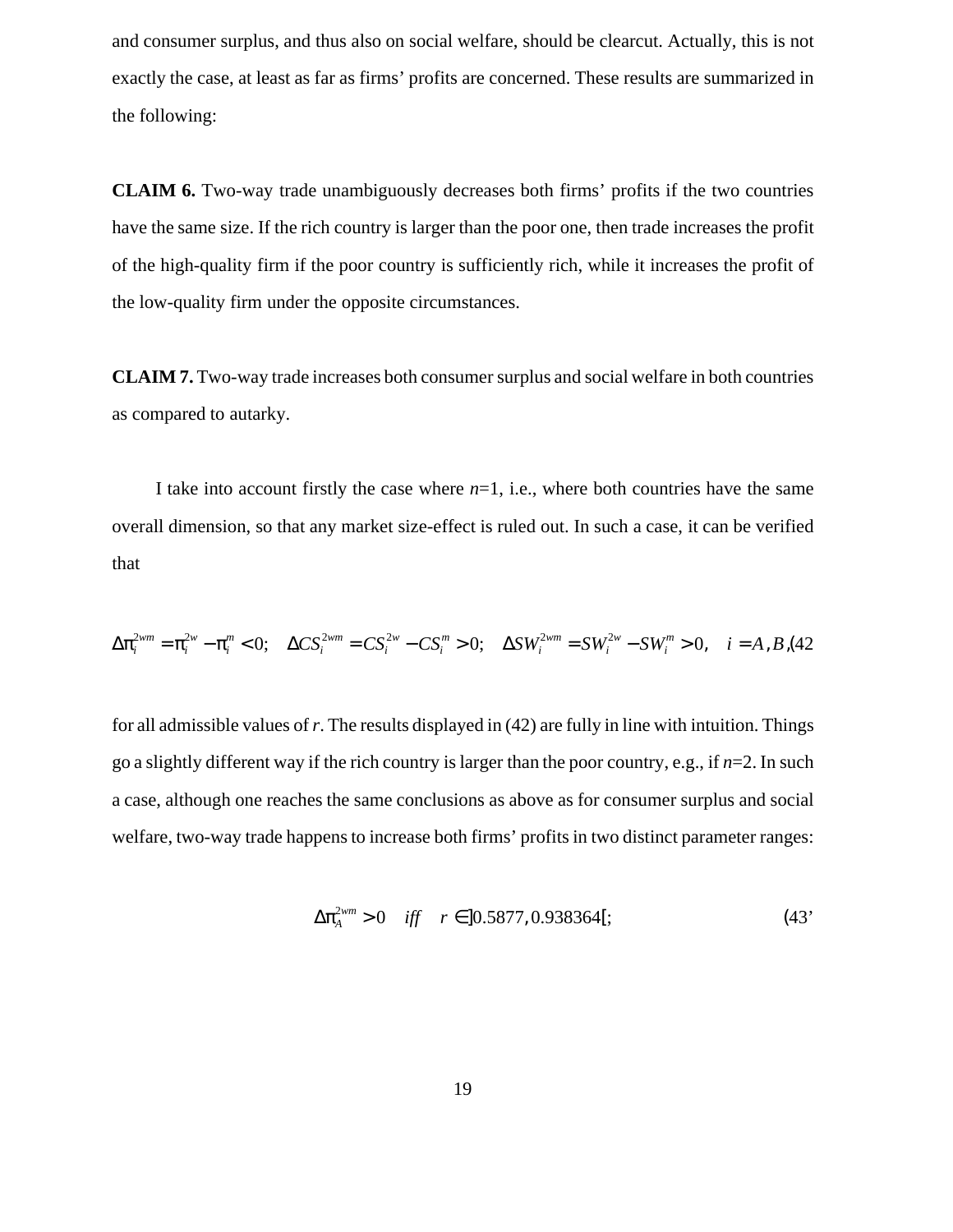and consumer surplus, and thus also on social welfare, should be clearcut. Actually, this is not exactly the case, at least as far as firms' profits are concerned. These results are summarized in the following:

**CLAIM 6.** Two-way trade unambiguously decreases both firms' profits if the two countries have the same size. If the rich country is larger than the poor one, then trade increases the profit of the high-quality firm if the poor country is sufficiently rich, while it increases the profit of the low-quality firm under the opposite circumstances.

**CLAIM 7.** Two-way trade increases both consumer surplus and social welfare in both countries as compared to autarky.

I take into account firstly the case where *n*=1, i.e., where both countries have the same overall dimension, so that any market size-effect is ruled out. In such a case, it can be verified that

∆π*<sup>i</sup>* <sup>2</sup>*wm* = π*<sup>i</sup>* <sup>2</sup>*<sup>w</sup>* − π*<sup>i</sup> <sup>m</sup>* < 0; ∆*CSi* <sup>2</sup>*wm* = *CSi* <sup>2</sup>*<sup>w</sup>* − *CSi <sup>m</sup>* > 0; ∆*SWi* <sup>2</sup>*wm* = *SWi* <sup>2</sup>*<sup>w</sup>* − *SWi <sup>m</sup>* > 0, *i* = *A*,*B*,(42

for all admissible values of*r*. The results displayed in (42) are fully in line with intuition. Things go a slightly different way if the rich country is larger than the poor country, e.g., if *n*=2. In such a case, although one reaches the same conclusions as above as for consumer surplus and social welfare, two-way trade happens to increase both firms' profits in two distinct parameter ranges:

$$
\Delta \pi_A^{2wm} > 0 \quad \text{iff} \quad r \in ]0.5877, 0.938364[;
$$
 (43)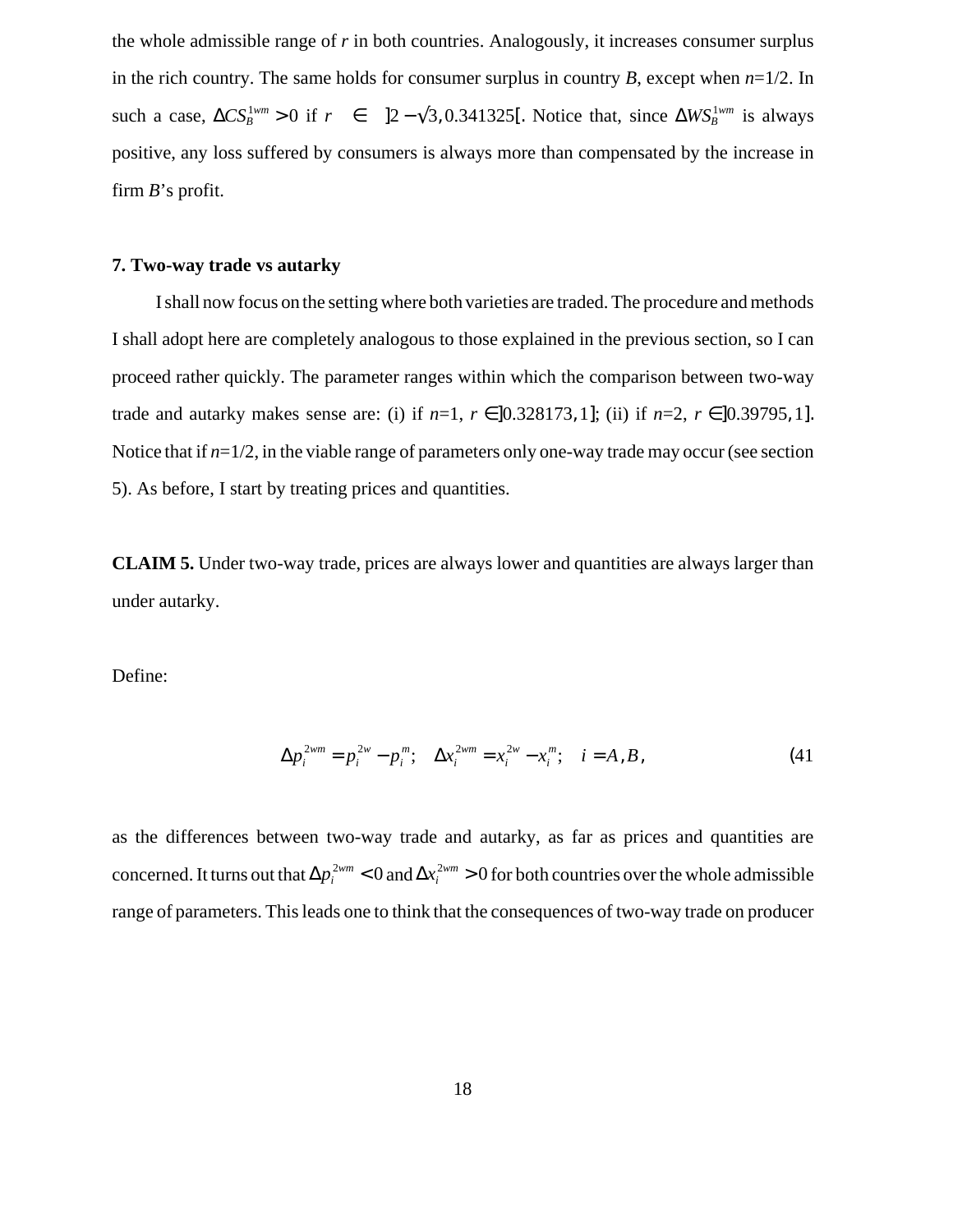the whole admissible range of *r* in both countries. Analogously, it increases consumer surplus in the rich country. The same holds for consumer surplus in country *B*, except when *n*=1/2. In such a case,  $\Delta CS_B^{1wm} > 0$  if  $r \in ]2 - \sqrt{3}, 0.341325[$ . Notice that, since  $\Delta WS_B^{1wm}$  is always positive, any loss suffered by consumers is always more than compensated by the increase in firm *B*'s profit.

#### **7. Two-way trade vs autarky**

I shall now focus on the setting where both varieties are traded. The procedure and methods I shall adopt here are completely analogous to those explained in the previous section, so I can proceed rather quickly. The parameter ranges within which the comparison between two-way trade and autarky makes sense are: (i) if  $n=1$ ,  $r \in ]0.328173, 1]$ ; *(ii)* if  $n=2$ ,  $r \in ]0.39795, 1]$ . Notice that if  $n=1/2$ , in the viable range of parameters only one-way trade may occur (see section 5). As before, I start by treating prices and quantities.

**CLAIM 5.** Under two-way trade, prices are always lower and quantities are always larger than under autarky.

Define:

$$
\Delta p_i^{2wm} = p_i^{2w} - p_i^m; \quad \Delta x_i^{2wm} = x_i^{2w} - x_i^m; \quad i = A, B,
$$
\n(41)

as the differences between two-way trade and autarky, as far as prices and quantities are concerned. It turns out that  $\Delta p_i^{2wm} < 0$  and  $\Delta x_i^{2wm} > 0$  for both countries over the whole admissible range of parameters. This leads one to think that the consequences of two-way trade on producer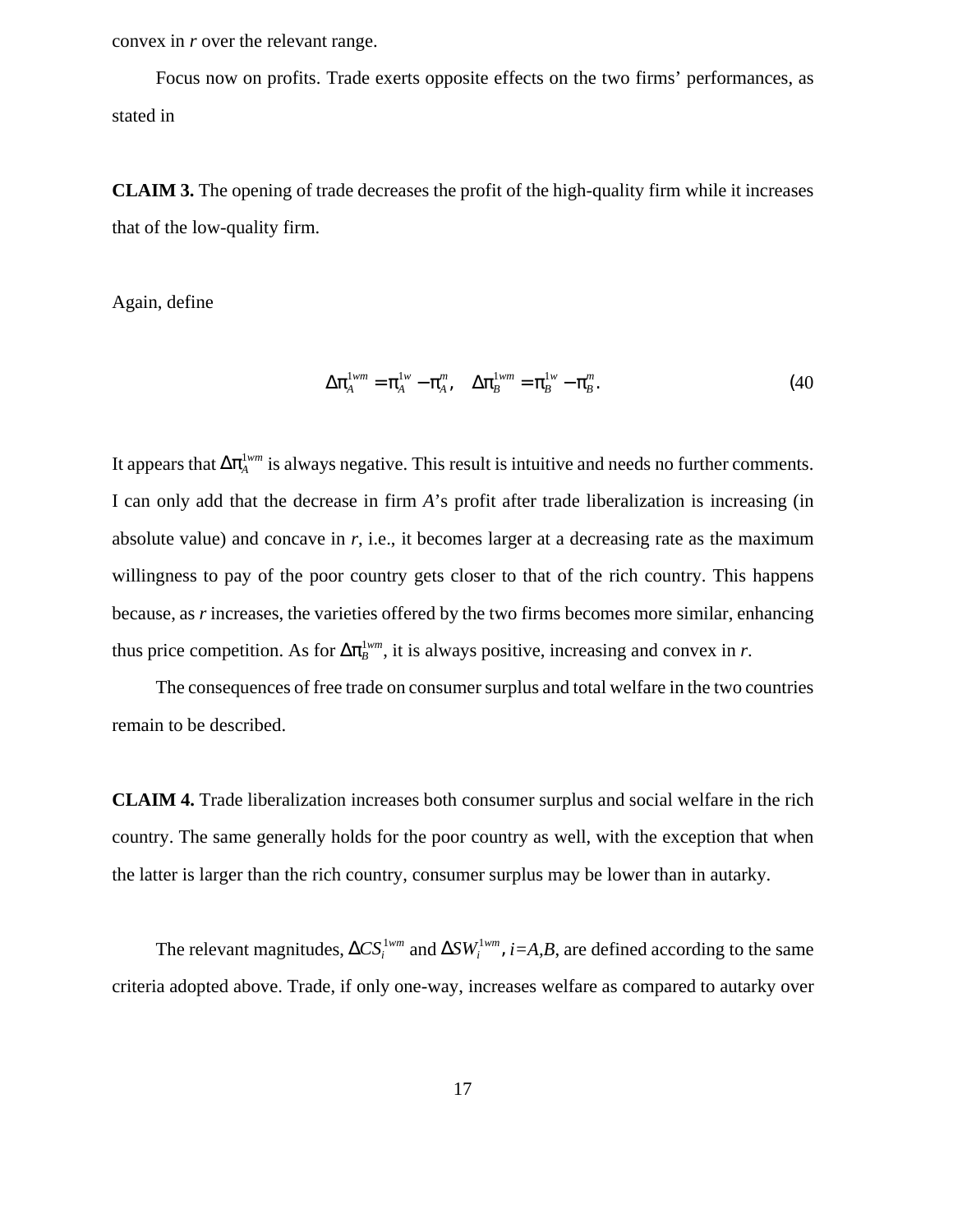convex in *r* over the relevant range.

Focus now on profits. Trade exerts opposite effects on the two firms' performances, as stated in

**CLAIM 3.** The opening of trade decreases the profit of the high-quality firm while it increases that of the low-quality firm.

Again, define

$$
\Delta \pi_A^{1wm} = \pi_A^{1w} - \pi_A^m, \quad \Delta \pi_B^{1wm} = \pi_B^{1w} - \pi_B^m. \tag{40}
$$

It appears that  $\Delta \pi_A^{1wm}$  is always negative. This result is intuitive and needs no further comments. I can only add that the decrease in firm *A*'s profit after trade liberalization is increasing (in absolute value) and concave in *r*, i.e., it becomes larger at a decreasing rate as the maximum willingness to pay of the poor country gets closer to that of the rich country. This happens because, as *r* increases, the varieties offered by the two firms becomes more similar, enhancing thus price competition. As for  $\Delta \pi_B^{1wm}$ , it is always positive, increasing and convex in *r*.

The consequences of free trade on consumer surplus and total welfare in the two countries remain to be described.

**CLAIM 4.** Trade liberalization increases both consumer surplus and social welfare in the rich country. The same generally holds for the poor country as well, with the exception that when the latter is larger than the rich country, consumer surplus may be lower than in autarky.

The relevant magnitudes,  $\Delta CS_i^{1wm}$  and  $\Delta SW_i^{1wm}$ ,  $i = A, B$ , are defined according to the same criteria adopted above. Trade, if only one-way, increases welfare as compared to autarky over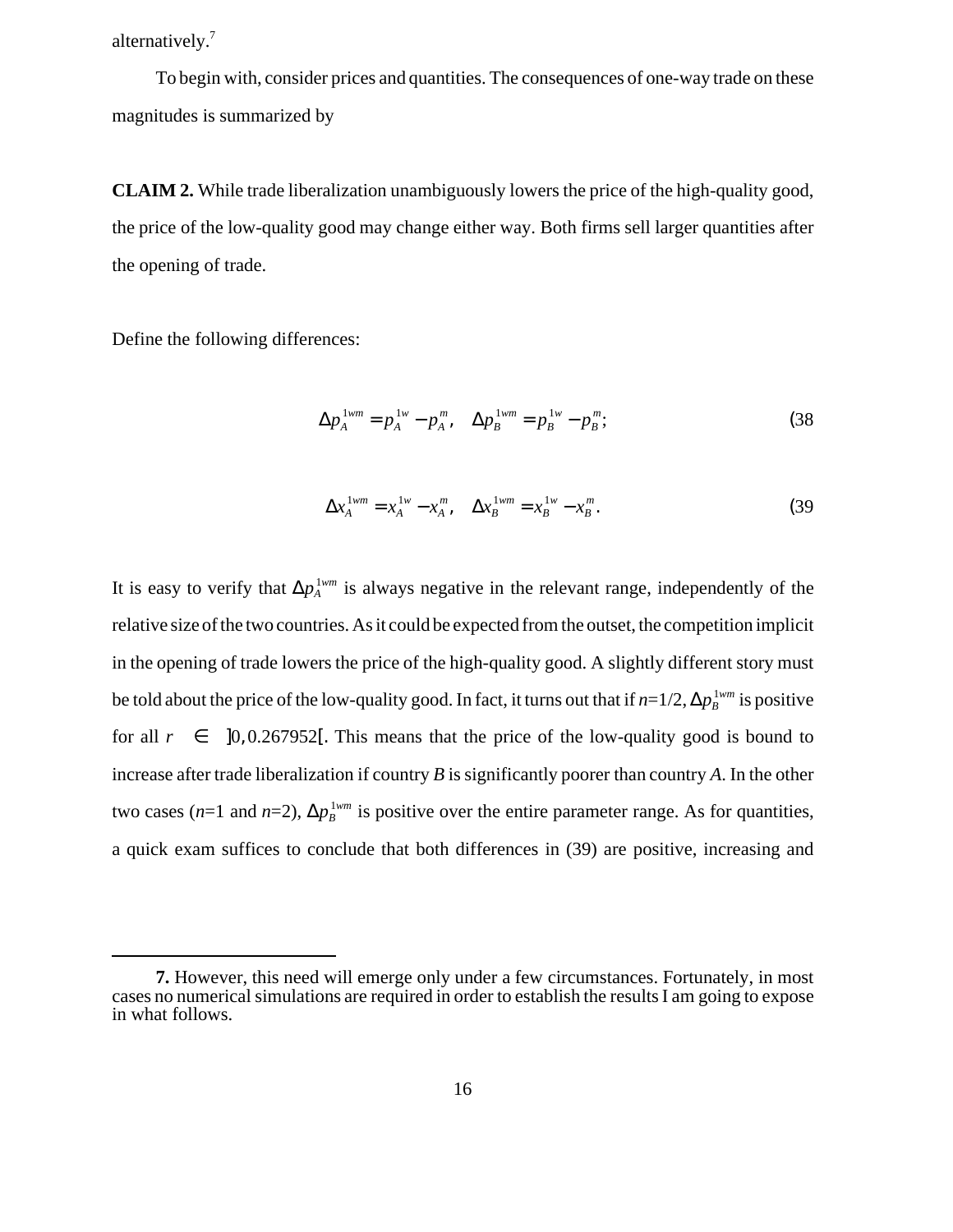alternatively.<sup>7</sup>

To begin with, consider prices and quantities. The consequences of one-way trade on these magnitudes is summarized by

**CLAIM 2.** While trade liberalization unambiguously lowers the price of the high-quality good, the price of the low-quality good may change either way. Both firms sell larger quantities after the opening of trade.

Define the following differences:

$$
\Delta p_A^{1wm} = p_A^{1w} - p_A^m, \quad \Delta p_B^{1wm} = p_B^{1w} - p_B^m; \tag{38}
$$

$$
\Delta x_A^{1wm} = x_A^{1w} - x_A^m, \quad \Delta x_B^{1wm} = x_B^{1w} - x_B^m. \tag{39}
$$

It is easy to verify that  $\Delta p_A^{\perp_{w_m}}$  is always negative in the relevant range, independently of the relative size of the two countries. As it could be expected from the outset, the competition implicit in the opening of trade lowers the price of the high-quality good. A slightly different story must be told about the price of the low-quality good. In fact, it turns out that if  $n{=}1/2$ ,  $\Delta p_B^{1wm}$  is positive for all  $r \in ]0, 0.267952[$ . This means that the price of the low-quality good is bound to increase after trade liberalization if country *B* is significantly poorer than country *A*. In the other two cases (*n*=1 and *n*=2),  $\Delta p_B^{\perp_{wm}}$  is positive over the entire parameter range. As for quantities, a quick exam suffices to conclude that both differences in (39) are positive, increasing and

**<sup>7.</sup>** However, this need will emerge only under a few circumstances. Fortunately, in most cases no numerical simulations are required in order to establish the results I am going to expose in what follows.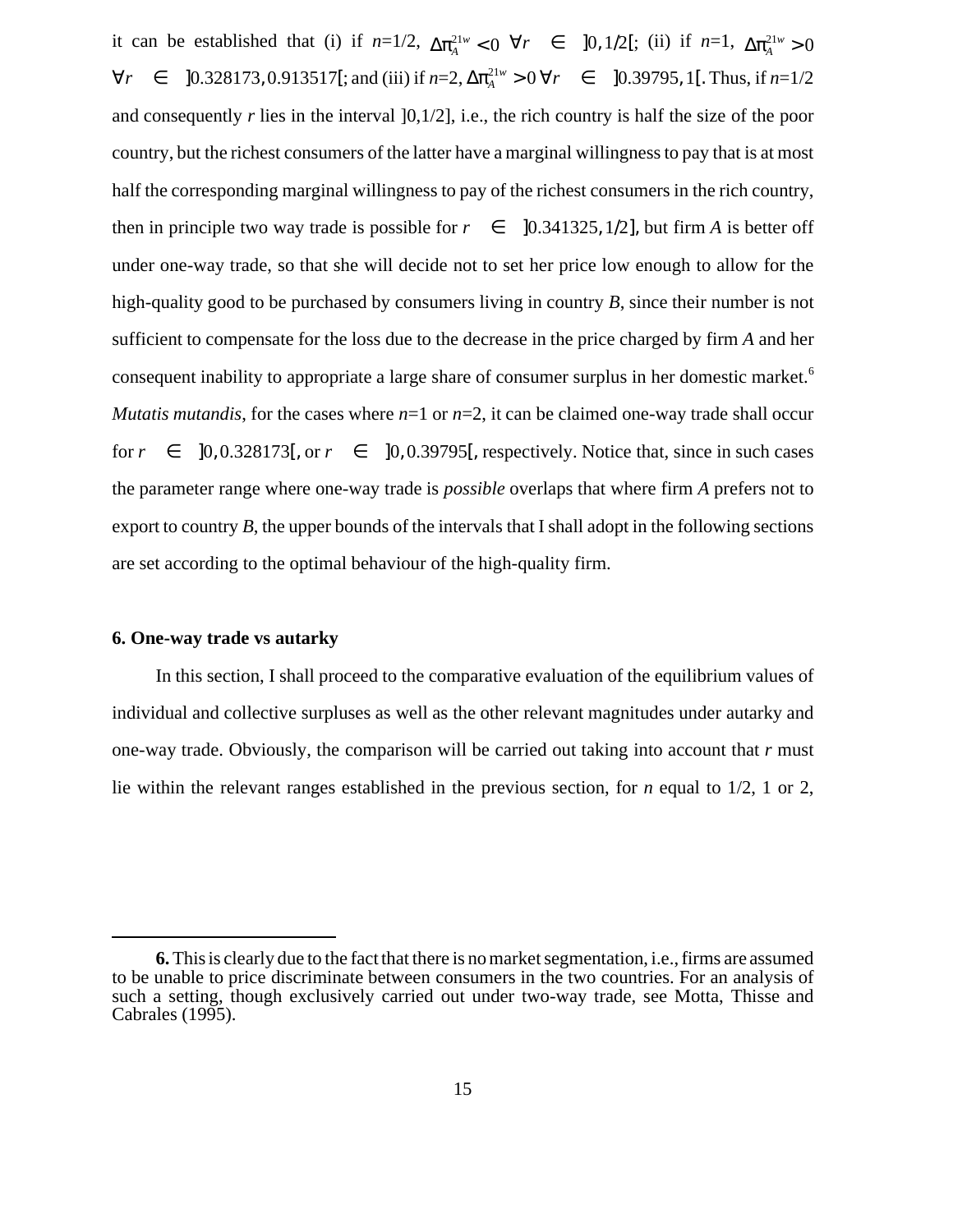it can be established that (i) if  $n=1/2$ ,  $\Delta \pi_A^{21w} < 0 \ \forall r \in [0, 1/2[$ ; (ii) if  $n=1$ ,  $\Delta \pi_A^{21w} > 0$  $\forall r \in [0.328173, 0.913517[$ ; and (iii) if  $n=2$ ,  $\Delta \pi_A^{21w} > 0 \,\forall r \in [0.39795, 1[$ . Thus, if  $n=1/2$ and consequently  $r$  lies in the interval  $]0,1/2]$ , i.e., the rich country is half the size of the poor country, but the richest consumers of the latter have a marginal willingness to pay that is at most half the corresponding marginal willingness to pay of the richest consumers in the rich country, then in principle two way trade is possible for  $r \in ]0.341325, 1/2]$ , but firm *A* is better off under one-way trade, so that she will decide not to set her price low enough to allow for the high-quality good to be purchased by consumers living in country *B*, since their number is not sufficient to compensate for the loss due to the decrease in the price charged by firm *A* and her consequent inability to appropriate a large share of consumer surplus in her domestic market.<sup>6</sup> *Mutatis mutandis*, for the cases where  $n=1$  or  $n=2$ , it can be claimed one-way trade shall occur for  $r \in [0, 0.328173]$ , or  $r \in [0, 0.39795]$ , respectively. Notice that, since in such cases the parameter range where one-way trade is *possible* overlaps that where firm *A* prefers not to export to country *B*, the upper bounds of the intervals that I shall adopt in the following sections are set according to the optimal behaviour of the high-quality firm.

#### **6. One-way trade vs autarky**

In this section, I shall proceed to the comparative evaluation of the equilibrium values of individual and collective surpluses as well as the other relevant magnitudes under autarky and one-way trade. Obviously, the comparison will be carried out taking into account that *r* must lie within the relevant ranges established in the previous section, for *n* equal to 1/2, 1 or 2,

**<sup>6.</sup>**This is clearly due to the fact that there is no market segmentation, i.e., firms are assumed to be unable to price discriminate between consumers in the two countries. For an analysis of such a setting, though exclusively carried out under two-way trade, see Motta, Thisse and Cabrales (1995).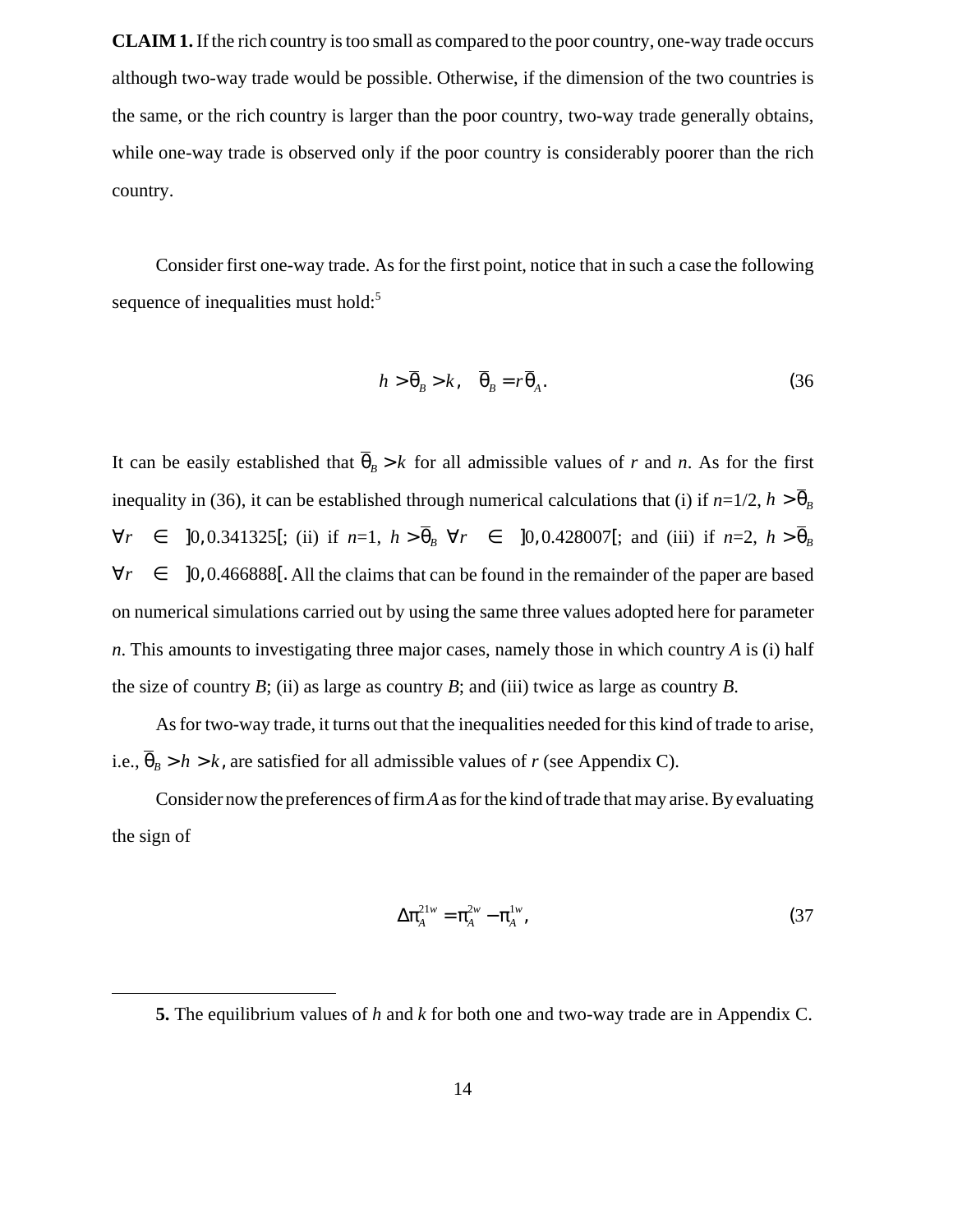**CLAIM 1.** If the rich country is too small as compared to the poor country, one-way trade occurs although two-way trade would be possible. Otherwise, if the dimension of the two countries is the same, or the rich country is larger than the poor country, two-way trade generally obtains, while one-way trade is observed only if the poor country is considerably poorer than the rich country.

Consider first one-way trade. As for the first point, notice that in such a case the following sequence of inequalities must hold:<sup>5</sup>

$$
h > \overline{\theta}_B > k, \quad \overline{\theta}_B = r \overline{\theta}_A. \tag{36}
$$

It can be easily established that  $\theta_B > k$  for all admissible values of *r* and *n*. As for the first inequality in (36), it can be established through numerical calculations that (i) if  $n=1/2$ ,  $h > \theta_B$  $\forall r \in [0, 0.341325]$ ; (ii) if  $n=1$ ,  $h > \theta_B$   $\forall r \in [0, 0.428007]$ ; and (iii) if  $n=2$ ,  $h > \theta_B$ All the claims that can be found in the remainder of the paper are based ∀*r* ∈ ]0, 0.466888[. on numerical simulations carried out by using the same three values adopted here for parameter *n*. This amounts to investigating three major cases, namely those in which country *A* is (i) half the size of country *B*; (ii) as large as country *B*; and (iii) twice as large as country *B*.

As for two-way trade, it turns out that the inequalities needed for this kind of trade to arise, i.e.,  $\theta_B > h > k$ , are satisfied for all admissible values of *r* (see Appendix C).

Consider now the preferences of firm*A*as for the kind of trade that may arise. By evaluating the sign of

$$
\Delta \pi_A^{21w} = \pi_A^{2w} - \pi_A^{1w}, \tag{37}
$$

**<sup>5.</sup>** The equilibrium values of *h* and *k* for both one and two-way trade are in Appendix C.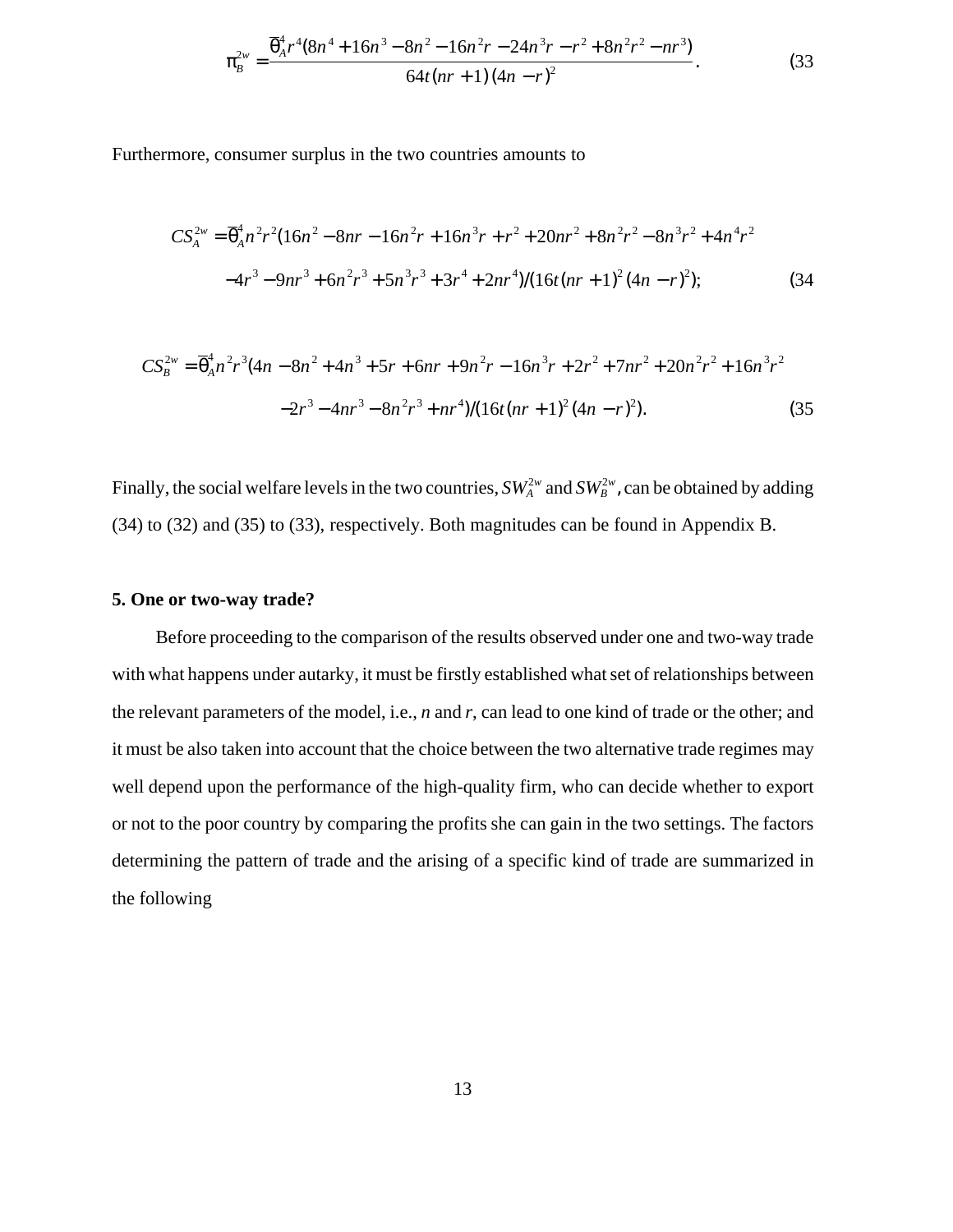$$
\pi_B^{2w} = \frac{\overline{\theta}_A^4 r^4 (8n^4 + 16n^3 - 8n^2 - 16n^2r - 24n^3r - r^2 + 8n^2r^2 - nr^3)}{64t(nr+1)(4n-r)^2}.
$$
\n(33)

Furthermore, consumer surplus in the two countries amounts to

$$
CS_A^{2w} = \overline{\theta}_A^4 n^2 r^2 (16n^2 - 8nr - 16n^2 r + 16n^3 r + r^2 + 20nr^2 + 8n^2 r^2 - 8n^3 r^2 + 4n^4 r^2
$$
  

$$
-4r^3 - 9nr^3 + 6n^2 r^3 + 5n^3 r^3 + 3r^4 + 2nr^4) / (16t(nr + 1)^2 (4n - r)^2);
$$
 (34)

$$
CS_B^{2w} = \overline{\theta}_A^4 n^2 r^3 (4n - 8n^2 + 4n^3 + 5r + 6nr + 9n^2 r - 16n^3 r + 2r^2 + 7nr^2 + 20n^2 r^2 + 16n^3 r^2
$$
  

$$
-2r^3 - 4nr^3 - 8n^2 r^3 + nr^4) / (16t(nr + 1)^2 (4n - r)^2).
$$
 (35)

Finally, the social welfare levels in the two countries,  $SW_A^{2w}$  and  $SW_B^{2w}$ , can be obtained by adding (34) to (32) and (35) to (33), respectively. Both magnitudes can be found in Appendix B.

#### **5. One or two-way trade?**

Before proceeding to the comparison of the results observed under one and two-way trade with what happens under autarky, it must be firstly established what set of relationships between the relevant parameters of the model, i.e., *n* and *r*, can lead to one kind of trade or the other; and it must be also taken into account that the choice between the two alternative trade regimes may well depend upon the performance of the high-quality firm, who can decide whether to export or not to the poor country by comparing the profits she can gain in the two settings. The factors determining the pattern of trade and the arising of a specific kind of trade are summarized in the following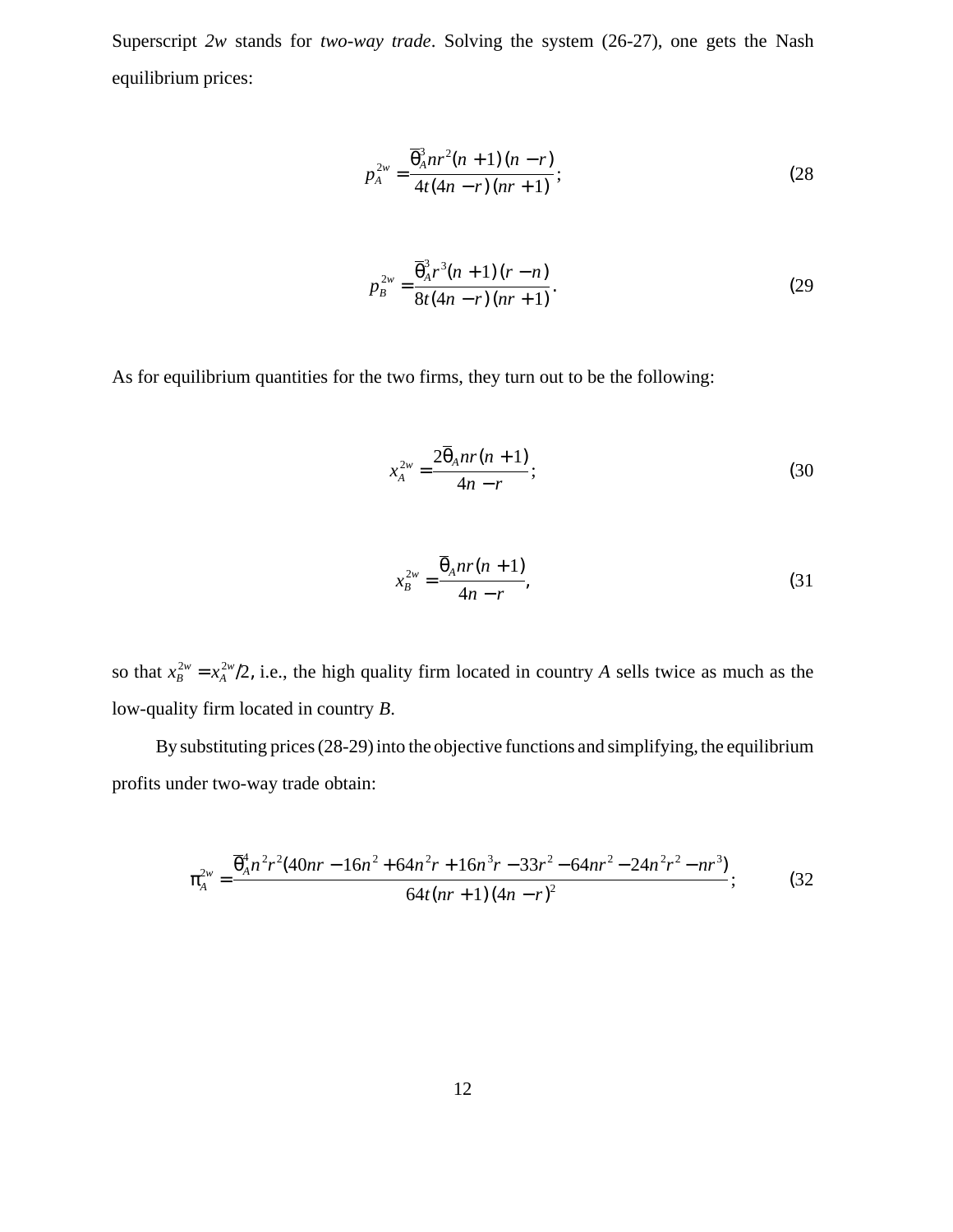Superscript *2w* stands for *two-way trade*. Solving the system (26-27), one gets the Nash equilibrium prices:

$$
p_A^{2w} = \frac{\overline{\theta}_A^3 n r^2 (n+1)(n-r)}{4t(4n-r)(nr+1)};
$$
 (28)

$$
p_B^{2w} = \frac{\overline{\theta}_A^3 r^3 (n+1)(r-n)}{8t(4n-r)(nr+1)}.
$$
 (29)

As for equilibrium quantities for the two firms, they turn out to be the following:

$$
x_A^{2w} = \frac{2\overline{\theta}_A nr(n+1)}{4n-r};
$$
\n(30)

$$
x_B^{2w} = \frac{\overline{\Theta}_A nr(n+1)}{4n-r},\tag{31}
$$

so that  $x_B^{2w} = x_A^{2w}/2$ , i.e., the high quality firm located in country *A* sells twice as much as the low-quality firm located in country *B*.

By substituting prices (28-29) into the objective functions and simplifying, the equilibrium profits under two-way trade obtain:

$$
\pi_A^{2w} = \frac{\overline{\Theta}_A^4 n^2 r^2 (40nr - 16n^2 + 64n^2 r + 16n^3 r - 33r^2 - 64nr^2 - 24n^2 r^2 - nr^3)}{64t(nr + 1)(4n - r)^2};
$$
(32)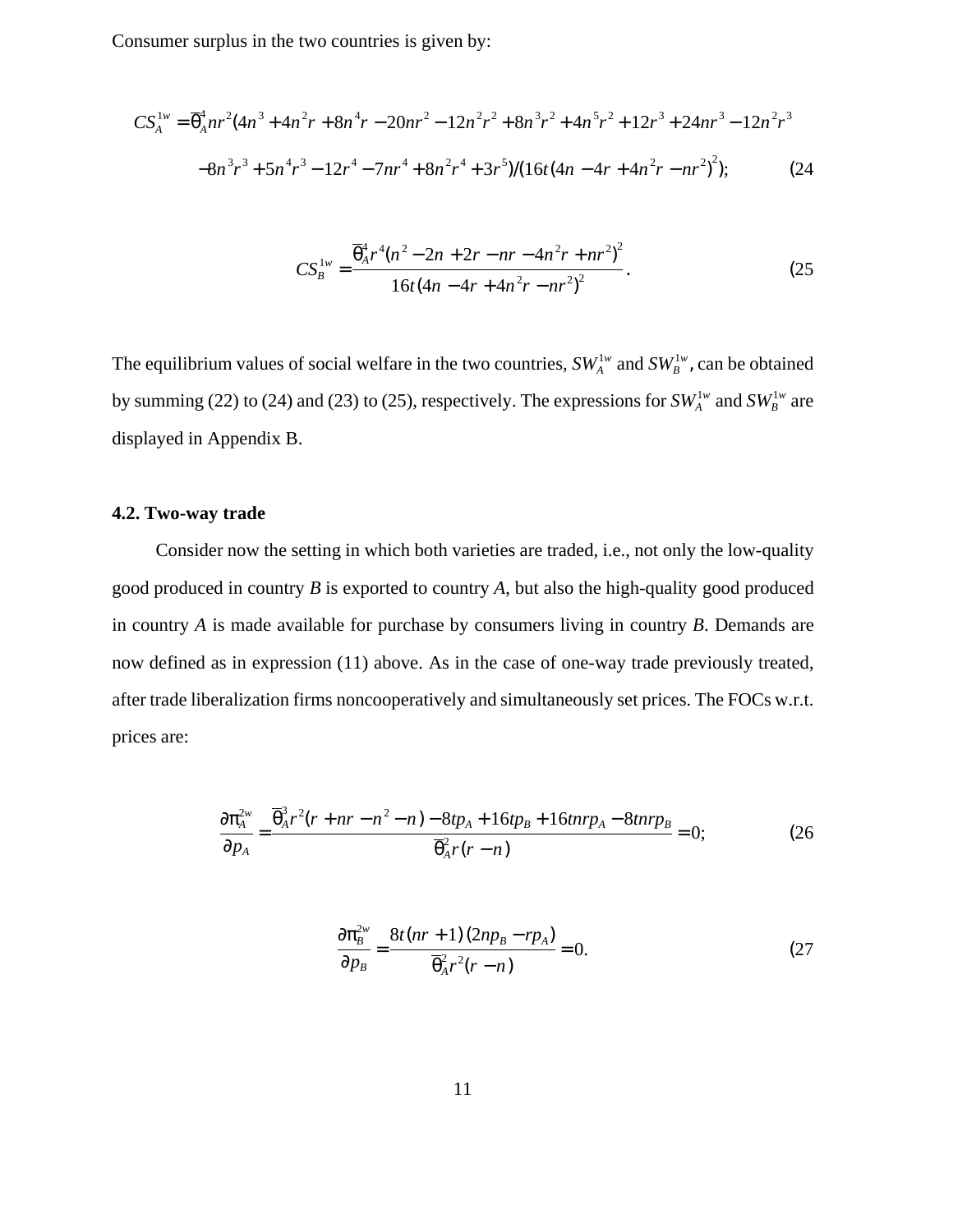Consumer surplus in the two countries is given by:

$$
CS_A^{1w} = \overline{\theta}_A^4 nr^2 (4n^3 + 4n^2r + 8n^4r - 20nr^2 - 12n^2r^2 + 8n^3r^2 + 4n^5r^2 + 12r^3 + 24nr^3 - 12n^2r^3
$$
  

$$
-8n^3r^3 + 5n^4r^3 - 12r^4 - 7nr^4 + 8n^2r^4 + 3r^5) / (16t(4n - 4r + 4n^2r - nr^2)^2); \tag{24}
$$

$$
CS_B^{1w} = \frac{\overline{\theta}_A^4 r^4 (n^2 - 2n + 2r - nr - 4n^2 r + nr^2)^2}{16t (4n - 4r + 4n^2 r - nr^2)^2}.
$$
 (25)

The equilibrium values of social welfare in the two countries,  $SW_A^{1w}$  and  $SW_B^{1w}$ , can be obtained by summing (22) to (24) and (23) to (25), respectively. The expressions for  $SW_A^{1w}$  and  $SW_B^{1w}$  are displayed in Appendix B.

## **4.2. Two-way trade**

Consider now the setting in which both varieties are traded, i.e., not only the low-quality good produced in country *B* is exported to country *A*, but also the high-quality good produced in country *A* is made available for purchase by consumers living in country *B*. Demands are now defined as in expression (11) above. As in the case of one-way trade previously treated, after trade liberalization firms noncooperatively and simultaneously set prices. The FOCs w.r.t. prices are:

$$
\frac{\partial \pi_A^{2w}}{\partial p_A} = \frac{\overline{\theta}_A^3 r^2 (r + nr - n^2 - n) - 8tp_A + 16tp_B + 16tnrp_A - 8tnrp_B}{\overline{\theta}_A^2 r (r - n)} = 0; \tag{26}
$$

$$
\frac{\partial \pi_B^{2w}}{\partial p_B} = \frac{8t(nr+1)(2np_B - rp_A)}{\overline{\theta}_A^2 r^2(r-n)} = 0.
$$
 (27)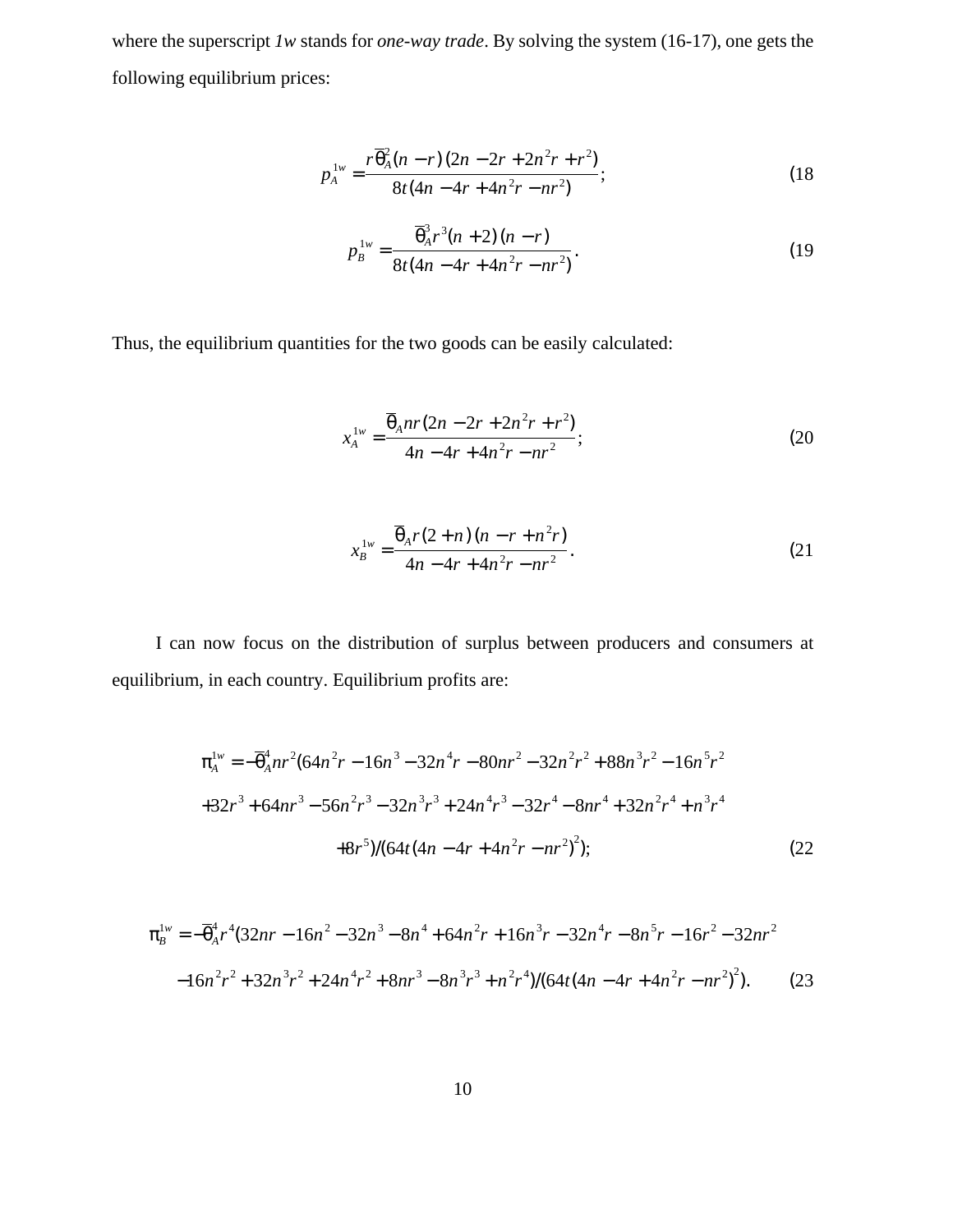where the superscript *1w* stands for *one-way trade*. By solving the system (16-17), one gets the following equilibrium prices:

$$
p_A^{1w} = \frac{r\overline{\theta}_A^2(n-r)(2n-2r+2n^2r+r^2)}{8t(4n-4r+4n^2r-nr^2)};
$$
 (18)

$$
p_B^{1w} = \frac{\overline{\theta}_A^3 r^3 (n+2) (n-r)}{8t (4n - 4r + 4n^2 r - nr^2)}.
$$
 (19)

Thus, the equilibrium quantities for the two goods can be easily calculated:

$$
x_A^{1w} = \frac{\overline{\theta}_A nr(2n - 2r + 2n^2r + r^2)}{4n - 4r + 4n^2r - nr^2};
$$
\n(20)

$$
x_B^{1w} = \frac{\overline{\theta}_A r (2+n) (n - r + n^2 r)}{4n - 4r + 4n^2 r - nr^2}.
$$
 (21)

I can now focus on the distribution of surplus between producers and consumers at equilibrium, in each country. Equilibrium profits are:

$$
\pi_A^{1w} = -\overline{\theta}_A^4 nr^2 (64n^2r - 16n^3 - 32n^4r - 80nr^2 - 32n^2r^2 + 88n^3r^2 - 16n^5r^2
$$
  
+32r<sup>3</sup> + 64nr<sup>3</sup> - 56n<sup>2</sup>r<sup>3</sup> - 32n<sup>3</sup>r<sup>3</sup> + 24n<sup>4</sup>r<sup>3</sup> - 32r<sup>4</sup> - 8nr<sup>4</sup> + 32n<sup>2</sup>r<sup>4</sup> + n<sup>3</sup>r<sup>4</sup>  
+8r<sup>5</sup>)/(64t(4n - 4r + 4n<sup>2</sup>r - nr<sup>2</sup>)<sup>2</sup>); (22)

$$
\pi_B^{1w} = -\overline{\theta}_A^4 r^4 (32nr - 16n^2 - 32n^3 - 8n^4 + 64n^2r + 16n^3r - 32n^4r - 8n^5r - 16r^2 - 32nr^2
$$
  
-16n<sup>2</sup>r<sup>2</sup> + 32n<sup>3</sup>r<sup>2</sup> + 24n<sup>4</sup>r<sup>2</sup> + 8nr<sup>3</sup> - 8n<sup>3</sup>r<sup>3</sup> + n<sup>2</sup>r<sup>4</sup>)/(64t(4n - 4r + 4n<sup>2</sup>r - nr<sup>2</sup>)<sup>2</sup>). (23)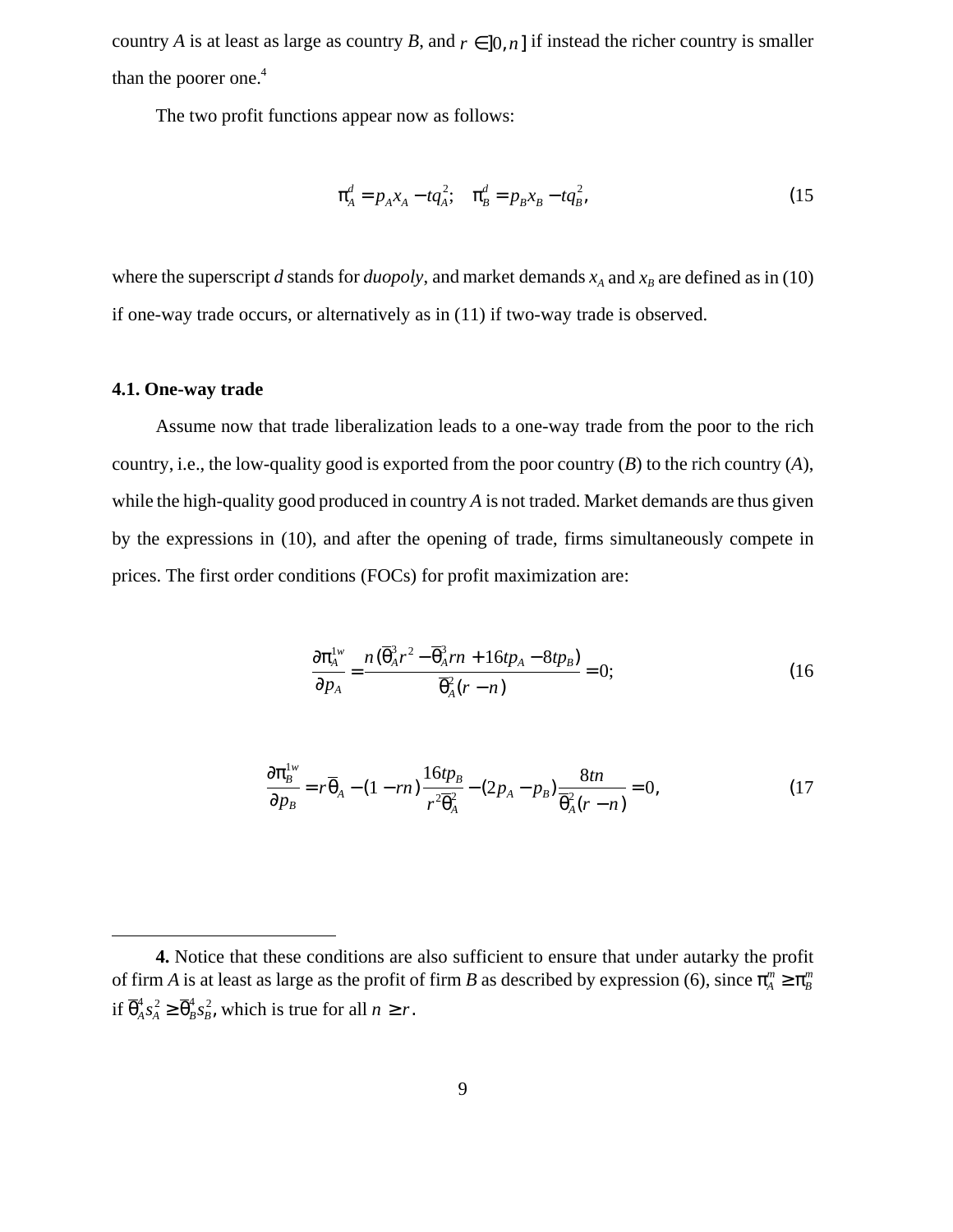country *A* is at least as large as country *B*, and  $r \in ]0, n]$  if instead the richer country is smaller than the poorer one.<sup>4</sup>

The two profit functions appear now as follows:

$$
\pi_A^d = p_A x_A - t q_A^2; \quad \pi_B^d = p_B x_B - t q_B^2,\tag{15}
$$

where the superscript *d* stands for *duopoly*, and market demands  $x_A$  and  $x_B$  are defined as in (10) if one-way trade occurs, or alternatively as in (11) if two-way trade is observed.

## **4.1. One-way trade**

Assume now that trade liberalization leads to a one-way trade from the poor to the rich country, i.e., the low-quality good is exported from the poor country (*B*) to the rich country (*A*), while the high-quality good produced in country *A* is not traded. Market demands are thus given by the expressions in (10), and after the opening of trade, firms simultaneously compete in prices. The first order conditions (FOCs) for profit maximization are:

$$
\frac{\partial \pi_A^{1w}}{\partial p_A} = \frac{n(\overline{\theta}_A^3 r^2 - \overline{\theta}_A^3 r n + 16tp_A - 8tp_B)}{\overline{\theta}_A^2 (r - n)} = 0;
$$
 (16)

$$
\frac{\partial \pi_B^{1w}}{\partial p_B} = r \overline{\theta}_A - (1 - rn) \frac{16tp_B}{r^2 \overline{\theta}_A^2} - (2p_A - p_B) \frac{8tn}{\overline{\theta}_A^2 (r - n)} = 0, \tag{17}
$$

**<sup>4.</sup>** Notice that these conditions are also sufficient to ensure that under autarky the profit of firm *A* is at least as large as the profit of firm *B* as described by expression (6), since  $\pi_A^m \geq \pi_B^m$ if  $\overline{\Theta}_A^4 s_A^2 \ge \overline{\Theta}_B^4 s_B^2$ , which is true for all  $n \ge r$ .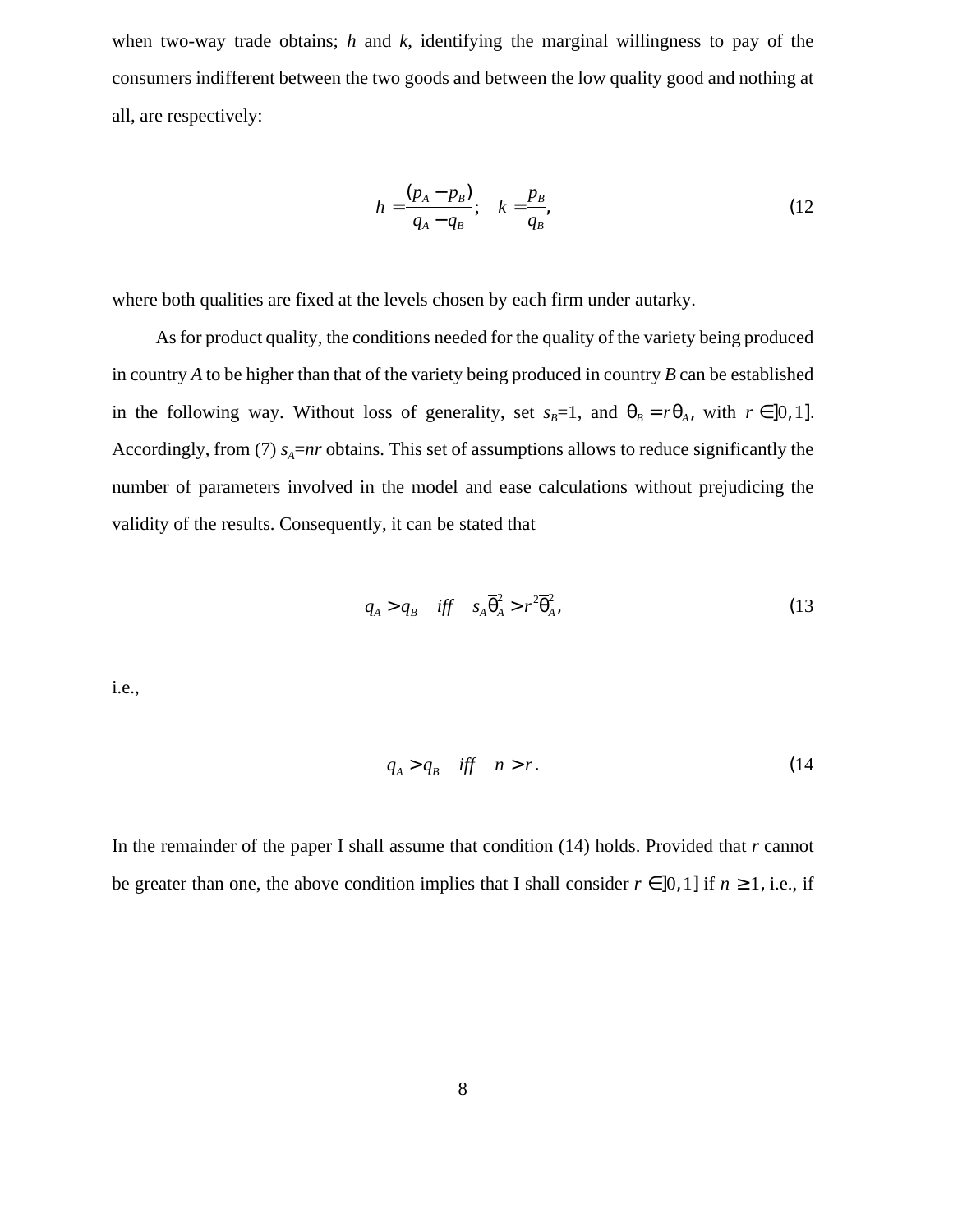when two-way trade obtains; *h* and *k*, identifying the marginal willingness to pay of the consumers indifferent between the two goods and between the low quality good and nothing at all, are respectively:

$$
h = \frac{(p_A - p_B)}{q_A - q_B}; \quad k = \frac{p_B}{q_B},
$$
\n(12)

where both qualities are fixed at the levels chosen by each firm under autarky.

As for product quality, the conditions needed for the quality of the variety being produced in country *A* to be higher than that of the variety being produced in country *B* can be established in the following way. Without loss of generality, set  $s_B=1$ , and  $\theta_B = r\theta_A$ , with  $r \in ]0,1]$ . Accordingly, from (7)  $s_A = nr$  obtains. This set of assumptions allows to reduce significantly the number of parameters involved in the model and ease calculations without prejudicing the validity of the results. Consequently, it can be stated that

$$
q_A > q_B \quad \text{iff} \quad s_A \overline{\theta}_A^2 > r^2 \overline{\theta}_A^2,\tag{13}
$$

i.e.,

$$
q_A > q_B \quad \text{iff} \quad n > r. \tag{14}
$$

In the remainder of the paper I shall assume that condition (14) holds. Provided that *r* cannot be greater than one, the above condition implies that I shall consider  $r \in ]0,1]$  if  $n \ge 1$ , i.e., if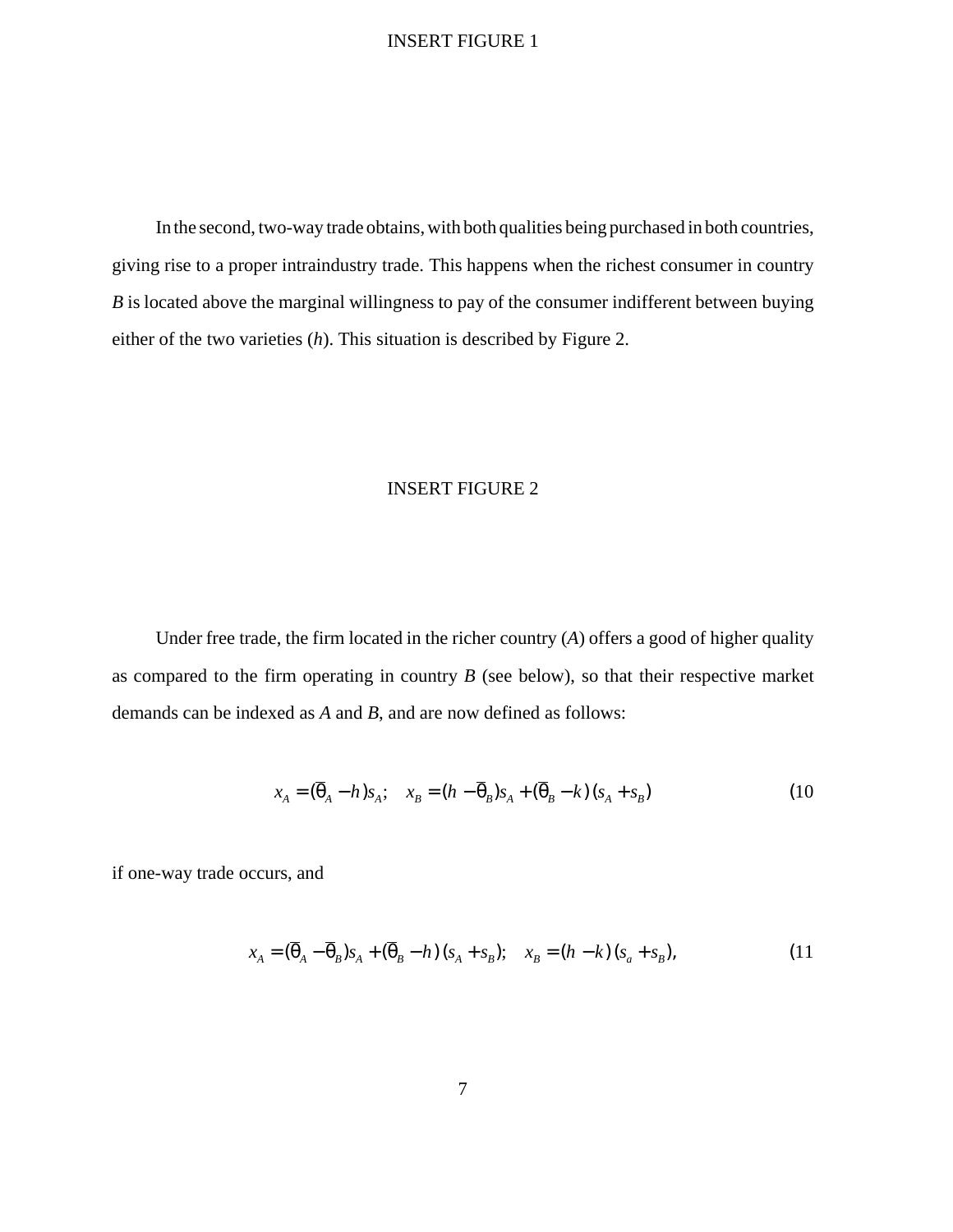## INSERT FIGURE 1

In the second, two-way trade obtains, with both qualities being purchased in both countries, giving rise to a proper intraindustry trade. This happens when the richest consumer in country *B* is located above the marginal willingness to pay of the consumer indifferent between buying either of the two varieties (*h*). This situation is described by Figure 2.

## INSERT FIGURE 2

Under free trade, the firm located in the richer country (*A*) offers a good of higher quality as compared to the firm operating in country *B* (see below), so that their respective market demands can be indexed as *A* and *B*, and are now defined as follows:

$$
x_A = (\overline{\theta}_A - h)s_A; \quad x_B = (h - \overline{\theta}_B)s_A + (\overline{\theta}_B - k)(s_A + s_B)
$$
(10)

if one-way trade occurs, and

$$
x_A = (\overline{\theta}_A - \overline{\theta}_B)s_A + (\overline{\theta}_B - h)(s_A + s_B); \quad x_B = (h - k)(s_a + s_B),
$$
\n(11)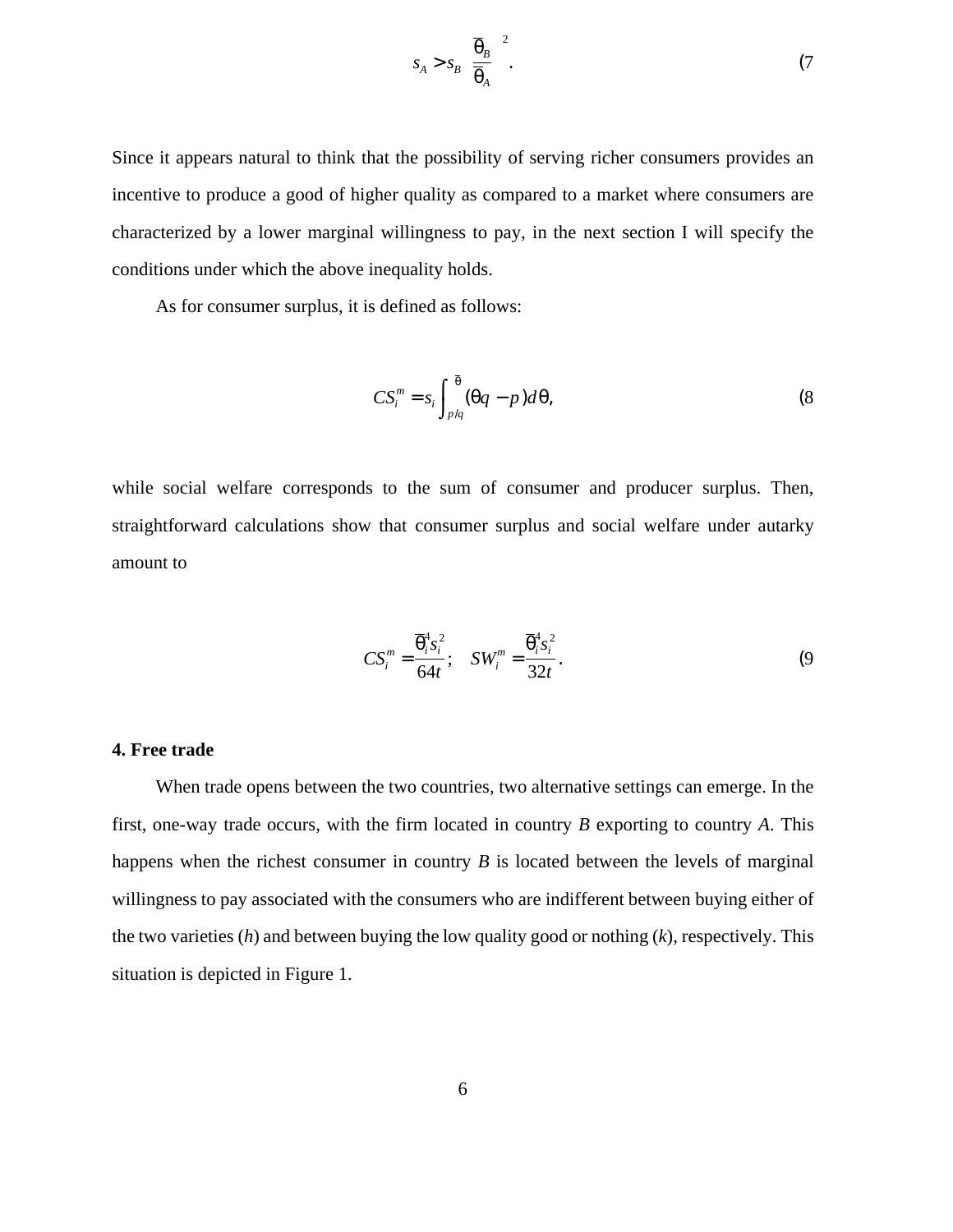$$
s_A > s_B \left(\frac{\overline{\Theta}_B}{\overline{\Theta}_A}\right)^2. \tag{7}
$$

Since it appears natural to think that the possibility of serving richer consumers provides an incentive to produce a good of higher quality as compared to a market where consumers are characterized by a lower marginal willingness to pay, in the next section I will specify the conditions under which the above inequality holds.

As for consumer surplus, it is defined as follows:

$$
CS_i^m = s_i \int_{p/q}^{\overline{\theta}} (\theta q - p) d\theta, \qquad (8)
$$

while social welfare corresponds to the sum of consumer and producer surplus. Then, straightforward calculations show that consumer surplus and social welfare under autarky amount to

$$
CS_i^m = \frac{\overline{\Theta}_i^4 s_i^2}{64t}; \quad SW_i^m = \frac{\overline{\Theta}_i^4 s_i^2}{32t}.
$$
 (9)

#### **4. Free trade**

When trade opens between the two countries, two alternative settings can emerge. In the first, one-way trade occurs, with the firm located in country *B* exporting to country *A*. This happens when the richest consumer in country *B* is located between the levels of marginal willingness to pay associated with the consumers who are indifferent between buying either of the two varieties (*h*) and between buying the low quality good or nothing (*k*), respectively. This situation is depicted in Figure 1.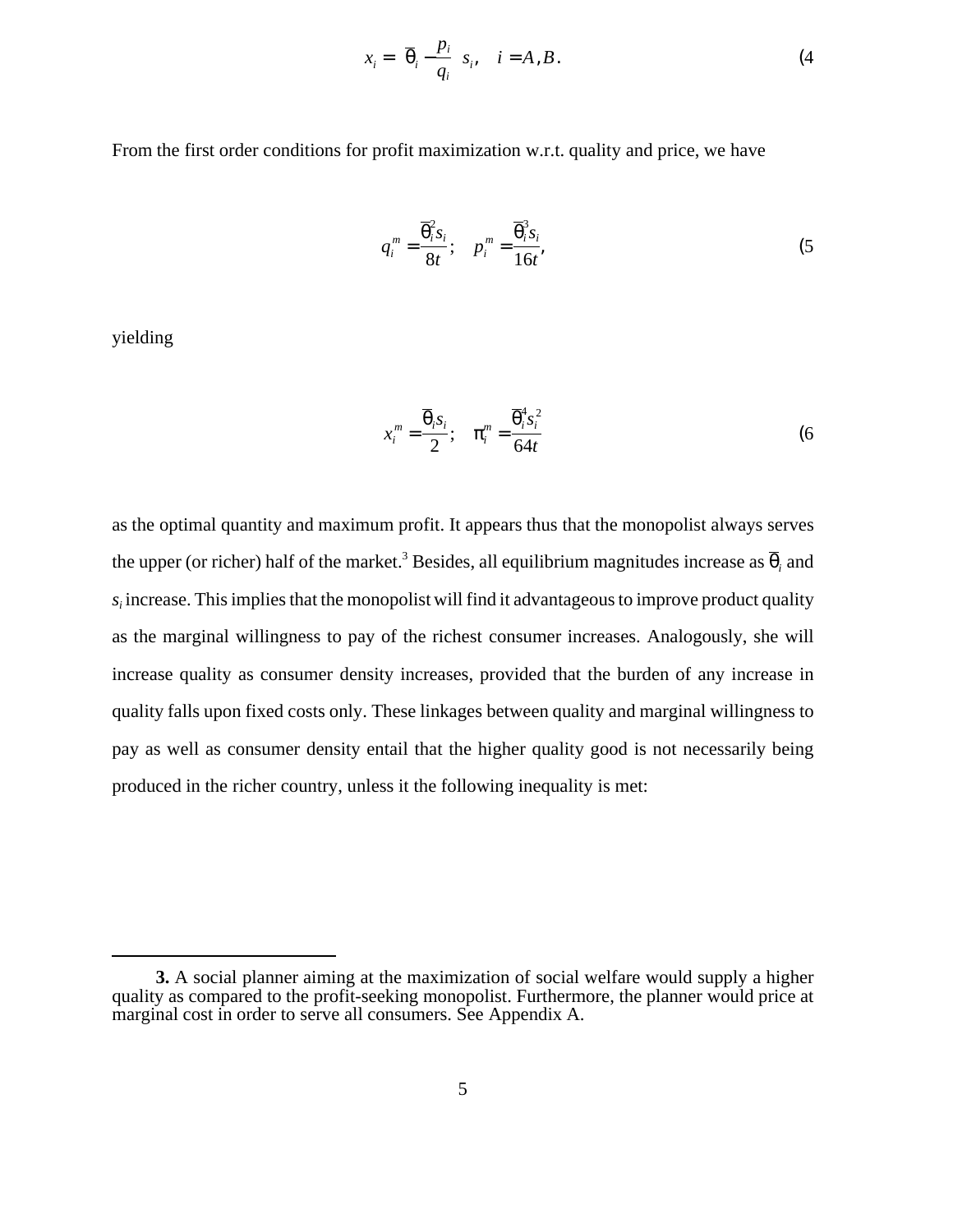$$
x_i = \left(\overline{\theta}_i - \frac{p_i}{q_i}\right) s_i, \quad i = A, B. \tag{4}
$$

From the first order conditions for profit maximization w.r.t. quality and price, we have

$$
q_i^m = \frac{\overline{\theta}_i^2 s_i}{8t}; \quad p_i^m = \frac{\overline{\theta}_i^3 s_i}{16t},
$$
 (5)

yielding

$$
x_i^m = \frac{\overline{\theta}_i s_i}{2}; \quad \pi_i^m = \frac{\overline{\theta}_i^4 s_i^2}{64t}
$$
 (6)

as the optimal quantity and maximum profit. It appears thus that the monopolist always serves the upper (or richer) half of the market.<sup>3</sup> Besides, all equilibrium magnitudes increase as  $\overline{\theta}_i$  and *si* increase. This implies that the monopolist will find it advantageous to improve product quality as the marginal willingness to pay of the richest consumer increases. Analogously, she will increase quality as consumer density increases, provided that the burden of any increase in quality falls upon fixed costs only. These linkages between quality and marginal willingness to pay as well as consumer density entail that the higher quality good is not necessarily being produced in the richer country, unless it the following inequality is met:

**<sup>3.</sup>** A social planner aiming at the maximization of social welfare would supply a higher quality as compared to the profit-seeking monopolist. Furthermore, the planner would price at marginal cost in order to serve all consumers. See Appendix A.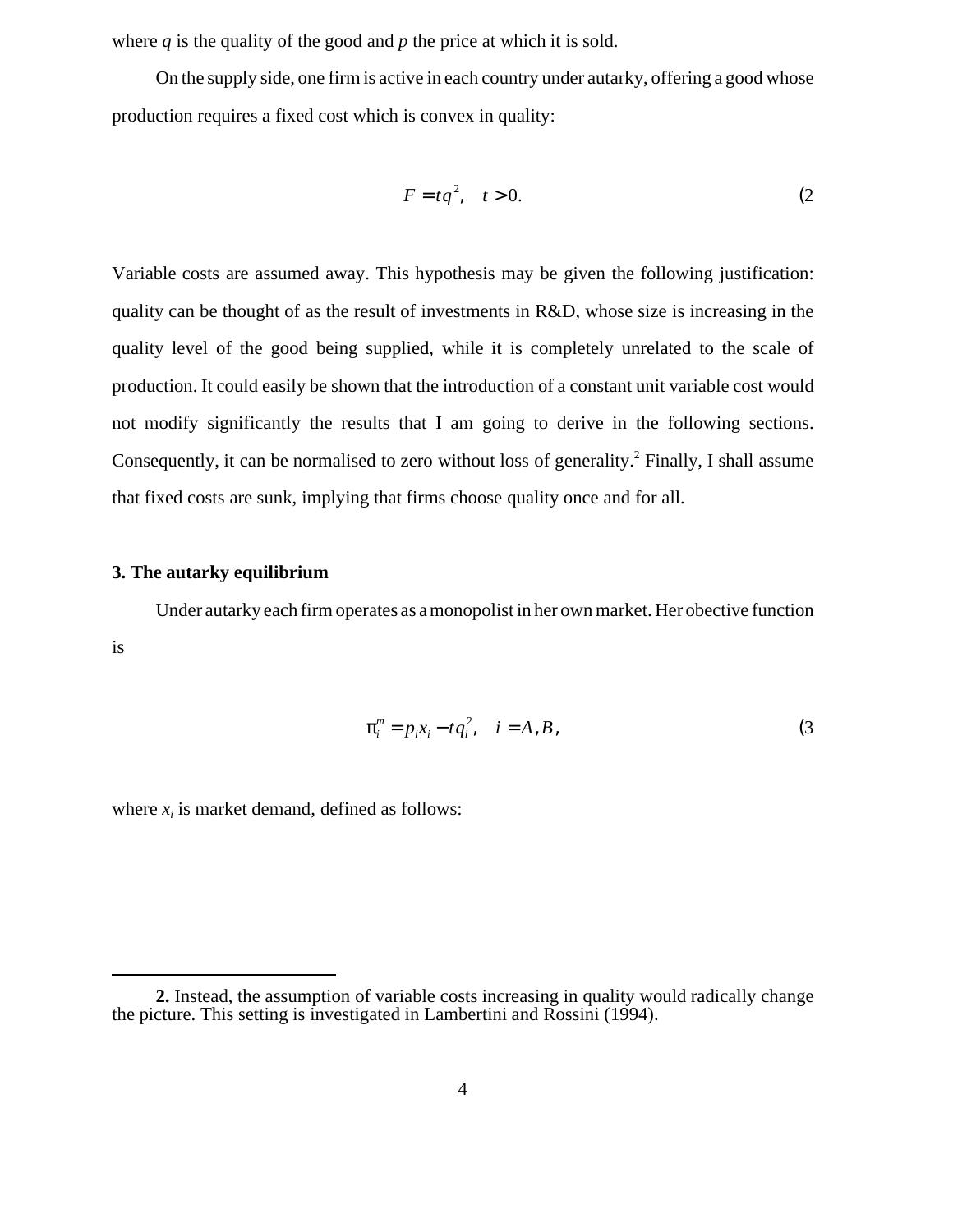where *q* is the quality of the good and *p* the price at which it is sold.

On the supply side, one firm is active in each country under autarky, offering a good whose production requires a fixed cost which is convex in quality:

$$
F = tq^2, \quad t > 0. \tag{2}
$$

Variable costs are assumed away. This hypothesis may be given the following justification: quality can be thought of as the result of investments in R&D, whose size is increasing in the quality level of the good being supplied, while it is completely unrelated to the scale of production. It could easily be shown that the introduction of a constant unit variable cost would not modify significantly the results that I am going to derive in the following sections. Consequently, it can be normalised to zero without loss of generality.<sup>2</sup> Finally, I shall assume that fixed costs are sunk, implying that firms choose quality once and for all.

## **3. The autarky equilibrium**

Under autarky each firm operates as a monopolist in her own market. Her obective function is

$$
\pi_i^m = p_i x_i - t q_i^2, \quad i = A, B,
$$
\n
$$
(3)
$$

where  $x_i$  is market demand, defined as follows:

**<sup>2.</sup>** Instead, the assumption of variable costs increasing in quality would radically change the picture. This setting is investigated in Lambertini and Rossini (1994).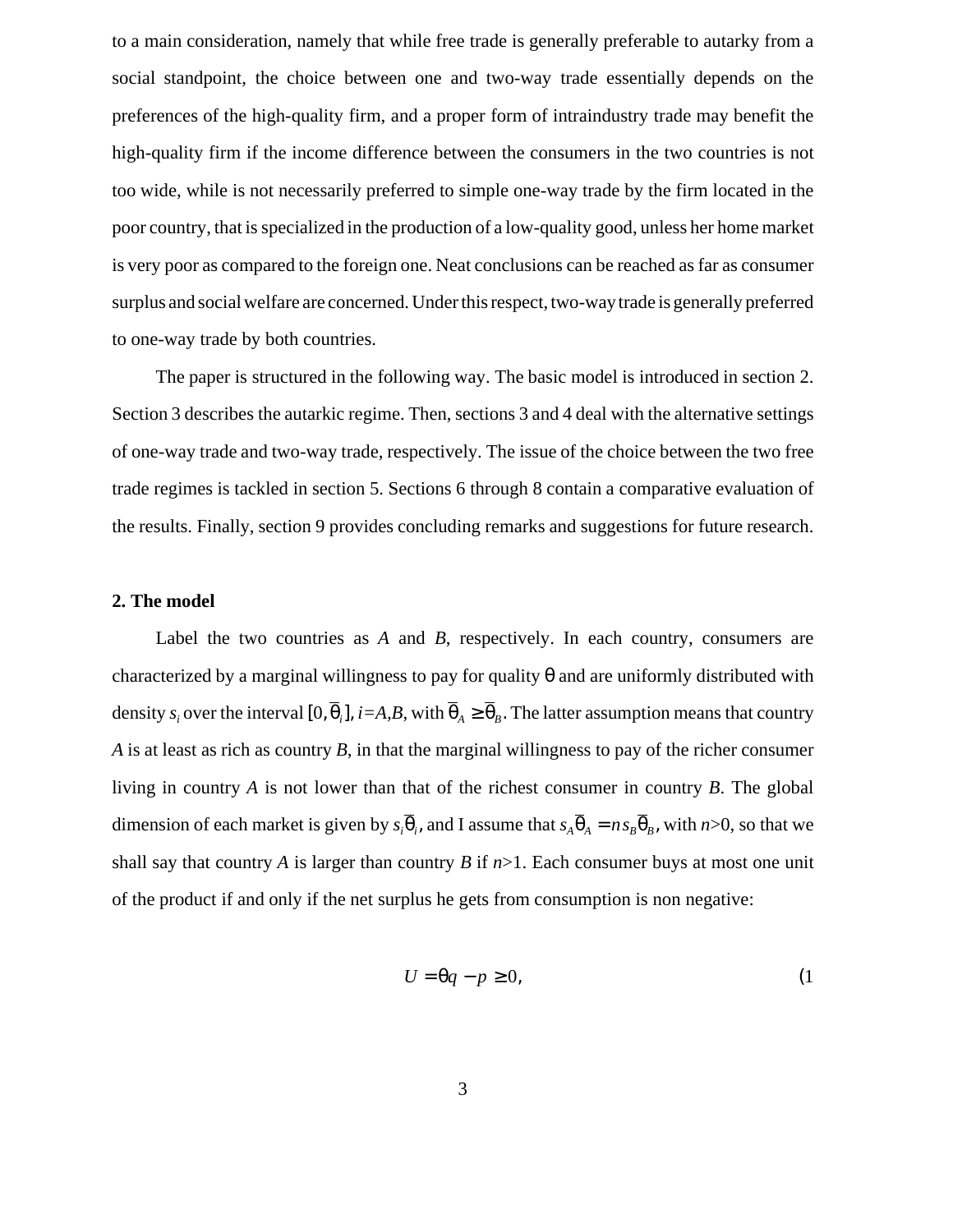to a main consideration, namely that while free trade is generally preferable to autarky from a social standpoint, the choice between one and two-way trade essentially depends on the preferences of the high-quality firm, and a proper form of intraindustry trade may benefit the high-quality firm if the income difference between the consumers in the two countries is not too wide, while is not necessarily preferred to simple one-way trade by the firm located in the poor country, that is specialized in the production of a low-quality good, unless her home market is very poor as compared to the foreign one. Neat conclusions can be reached as far as consumer surplus and social welfare are concerned. Under this respect, two-waytrade is generally preferred to one-way trade by both countries.

The paper is structured in the following way. The basic model is introduced in section 2. Section 3 describes the autarkic regime. Then, sections 3 and 4 deal with the alternative settings of one-way trade and two-way trade, respectively. The issue of the choice between the two free trade regimes is tackled in section 5. Sections 6 through 8 contain a comparative evaluation of the results. Finally, section 9 provides concluding remarks and suggestions for future research.

## **2. The model**

Label the two countries as *A* and *B*, respectively. In each country, consumers are characterized by a marginal willingness to pay for quality  $\theta$  and are uniformly distributed with density  $s_i$  over the interval  $[0, \theta_i]$ ,  $i=A, B$ , with  $\theta_A \ge \theta_B$ . The latter assumption means that country *A* is at least as rich as country *B*, in that the marginal willingness to pay of the richer consumer living in country *A* is not lower than that of the richest consumer in country *B*. The global dimension of each market is given by  $s_i \theta_i$ , and I assume that  $s_A \theta_A = n s_B \theta_B$ , with  $n > 0$ , so that we shall say that country *A* is larger than country *B* if  $n>1$ . Each consumer buys at most one unit of the product if and only if the net surplus he gets from consumption is non negative:

$$
U = \theta q - p \ge 0,\tag{1}
$$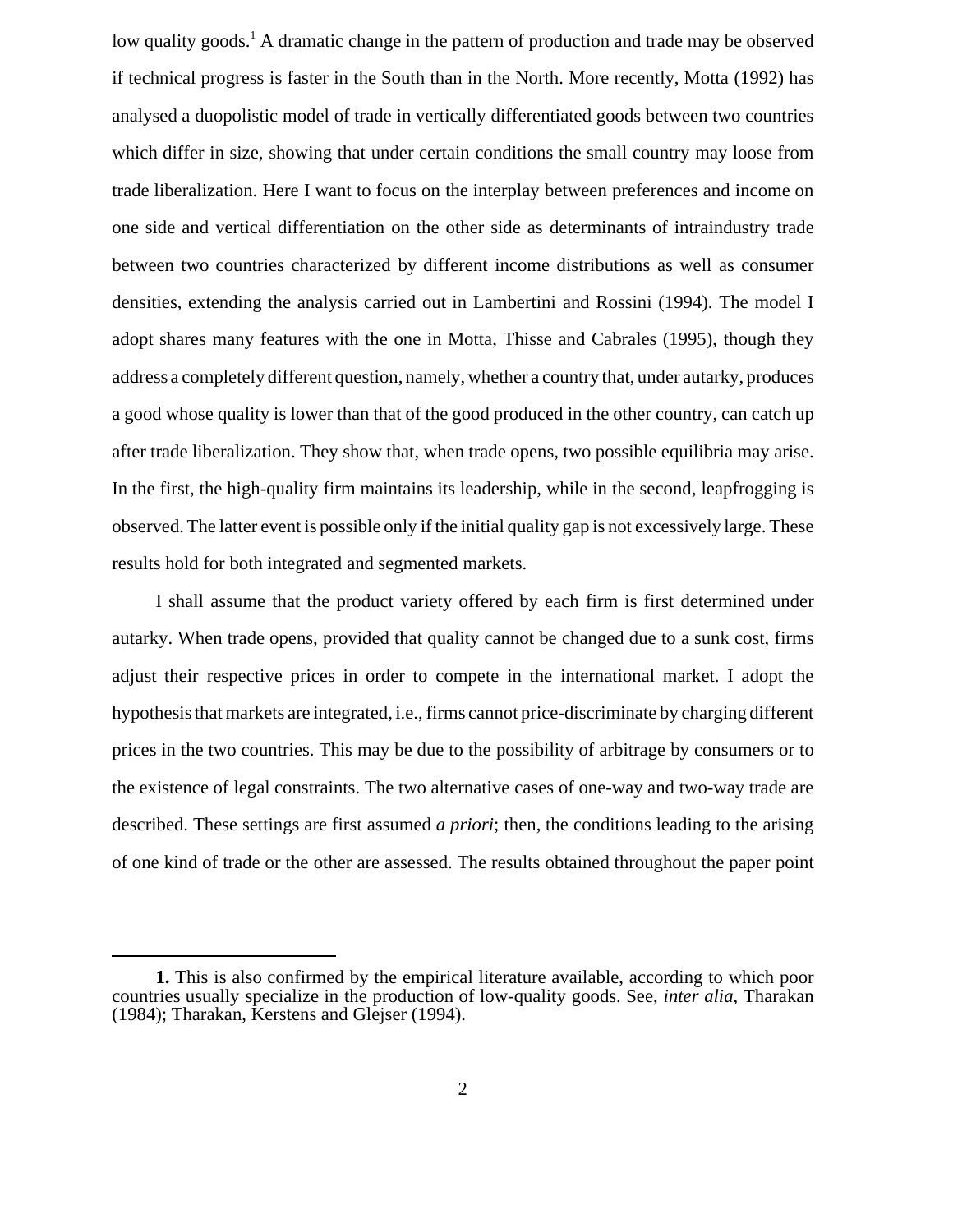low quality goods.<sup>1</sup> A dramatic change in the pattern of production and trade may be observed if technical progress is faster in the South than in the North. More recently, Motta (1992) has analysed a duopolistic model of trade in vertically differentiated goods between two countries which differ in size, showing that under certain conditions the small country may loose from trade liberalization. Here I want to focus on the interplay between preferences and income on one side and vertical differentiation on the other side as determinants of intraindustry trade between two countries characterized by different income distributions as well as consumer densities, extending the analysis carried out in Lambertini and Rossini (1994). The model I adopt shares many features with the one in Motta, Thisse and Cabrales (1995), though they address a completely different question, namely, whether a country that, under autarky, produces a good whose quality is lower than that of the good produced in the other country, can catch up after trade liberalization. They show that, when trade opens, two possible equilibria may arise. In the first, the high-quality firm maintains its leadership, while in the second, leapfrogging is observed. The latter event is possible only if the initial quality gap is not excessively large. These results hold for both integrated and segmented markets.

I shall assume that the product variety offered by each firm is first determined under autarky. When trade opens, provided that quality cannot be changed due to a sunk cost, firms adjust their respective prices in order to compete in the international market. I adopt the hypothesis that markets are integrated, i.e., firms cannot price-discriminate by charging different prices in the two countries. This may be due to the possibility of arbitrage by consumers or to the existence of legal constraints. The two alternative cases of one-way and two-way trade are described. These settings are first assumed *a priori*; then, the conditions leading to the arising of one kind of trade or the other are assessed. The results obtained throughout the paper point

**<sup>1.</sup>** This is also confirmed by the empirical literature available, according to which poor countries usually specialize in the production of low-quality goods. See, *inter alia*, Tharakan (1984); Tharakan, Kerstens and Glejser (1994).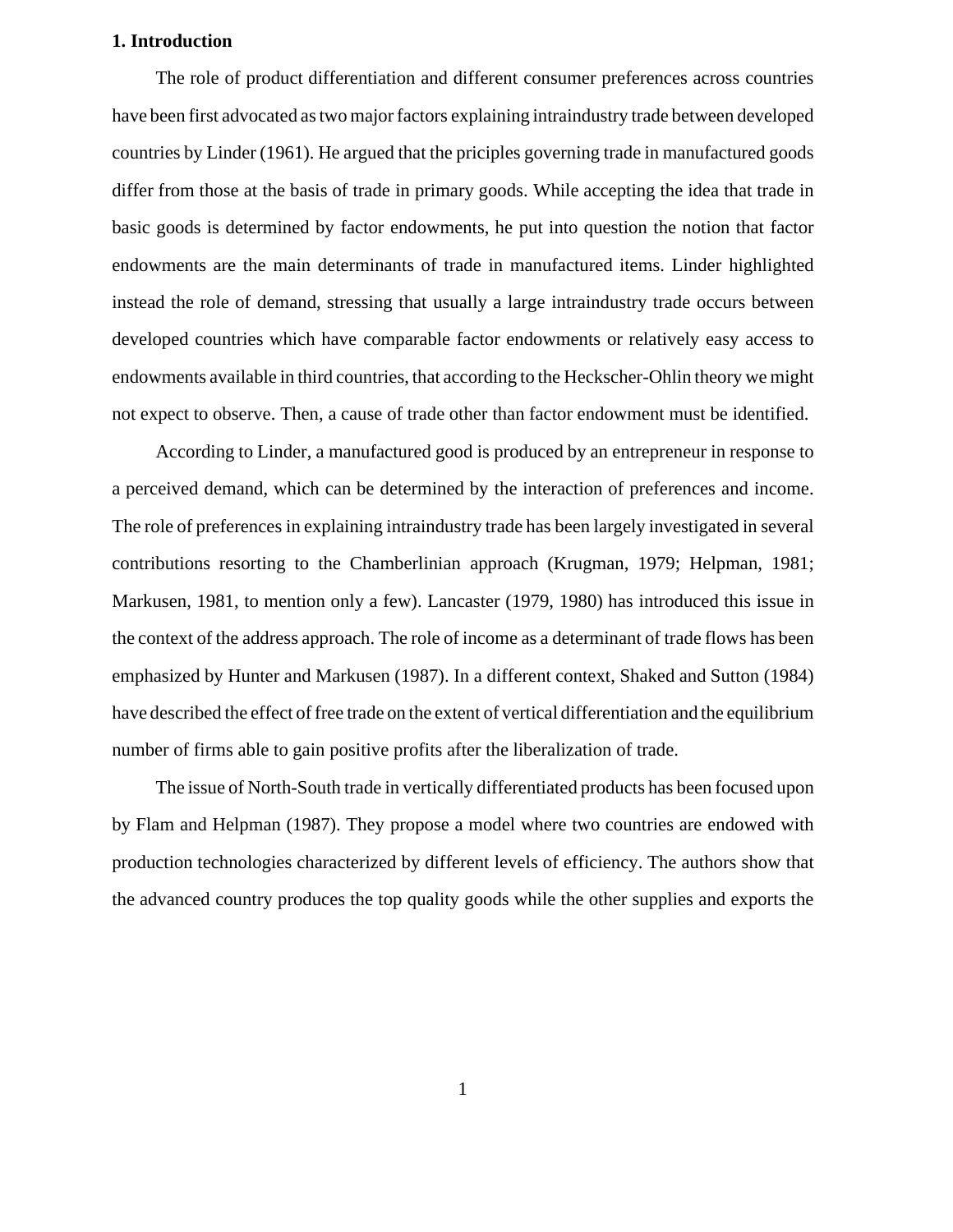## **1. Introduction**

The role of product differentiation and different consumer preferences across countries have been first advocated as two major factors explaining intraindustry trade between developed countries by Linder (1961). He argued that the priciples governing trade in manufactured goods differ from those at the basis of trade in primary goods. While accepting the idea that trade in basic goods is determined by factor endowments, he put into question the notion that factor endowments are the main determinants of trade in manufactured items. Linder highlighted instead the role of demand, stressing that usually a large intraindustry trade occurs between developed countries which have comparable factor endowments or relatively easy access to endowments available in third countries, that according to the Heckscher-Ohlin theory we might not expect to observe. Then, a cause of trade other than factor endowment must be identified.

According to Linder, a manufactured good is produced by an entrepreneur in response to a perceived demand, which can be determined by the interaction of preferences and income. The role of preferences in explaining intraindustry trade has been largely investigated in several contributions resorting to the Chamberlinian approach (Krugman, 1979; Helpman, 1981; Markusen, 1981, to mention only a few). Lancaster (1979, 1980) has introduced this issue in the context of the address approach. The role of income as a determinant of trade flows has been emphasized by Hunter and Markusen (1987). In a different context, Shaked and Sutton (1984) have described the effect of free trade on the extent of vertical differentiation and the equilibrium number of firms able to gain positive profits after the liberalization of trade.

The issue of North-South trade in vertically differentiated products has been focused upon by Flam and Helpman (1987). They propose a model where two countries are endowed with production technologies characterized by different levels of efficiency. The authors show that the advanced country produces the top quality goods while the other supplies and exports the